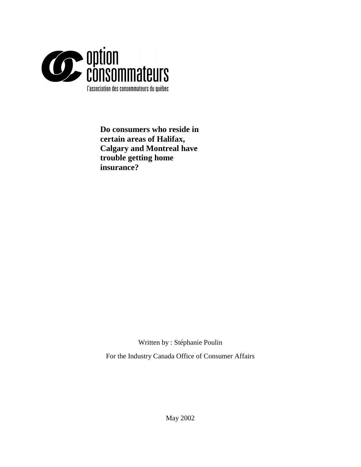

**Do consumers who reside in certain areas of Halifax, Calgary and Montreal have trouble getting home insurance?** 

Written by : Stéphanie Poulin

For the Industry Canada Office of Consumer Affairs

May 2002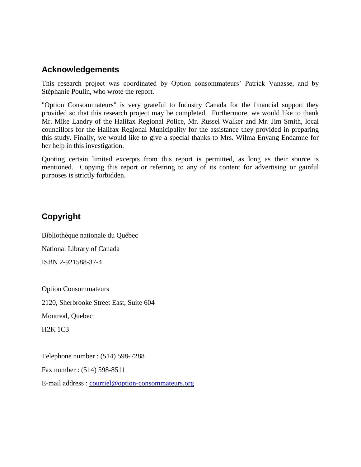# **Acknowledgements**

This research project was coordinated by Option consommateurs' Patrick Vanasse, and by Stéphanie Poulin, who wrote the report.

"Option Consommateurs" is very grateful to Industry Canada for the financial support they provided so that this research project may be completed. Furthermore, we would like to thank Mr. Mike Landry of the Halifax Regional Police, Mr. Russel Walker and Mr. Jim Smith, local councillors for the Halifax Regional Municipality for the assistance they provided in preparing this study. Finally, we would like to give a special thanks to Mrs. Wilma Enyang Endamne for her help in this investigation.

Quoting certain limited excerpts from this report is permitted, as long as their source is mentioned. Copying this report or referring to any of its content for advertising or gainful purposes is strictly forbidden.

# **Copyright**

Bibliothèque nationale du Québec National Library of Canada ISBN 2-921588-37-4

Option Consommateurs 2120, Sherbrooke Street East, Suite 604 Montreal, Quebec H2K 1C3

Telephone number : (514) 598-7288

Fax number : (514) 598-8511

E-mail address : [courriel@option-consommateurs.org](mailto:courriel@option-consommateurs.org)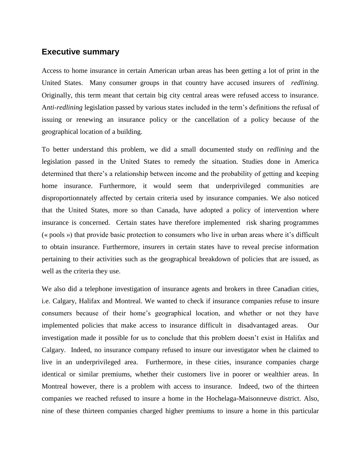### **Executive summary**

Access to home insurance in certain American urban areas has been getting a lot of print in the United States. Many consumer groups in that country have accused insurers of *redlining.* Originally, this term meant that certain big city central areas were refused access to insurance. A*nti-redlining* legislation passed by various states included in the term's definitions the refusal of issuing or renewing an insurance policy or the cancellation of a policy because of the geographical location of a building.

To better understand this problem, we did a small documented study on *redlining* and the legislation passed in the United States to remedy the situation. Studies done in America determined that there's a relationship between income and the probability of getting and keeping home insurance. Furthermore, it would seem that underprivileged communities are disproportionnately affected by certain criteria used by insurance companies. We also noticed that the United States, more so than Canada, have adopted a policy of intervention where insurance is concerned. Certain states have therefore implemented risk sharing programmes (« pools ») that provide basic protection to consumers who live in urban areas where it's difficult to obtain insurance. Furthermore, insurers in certain states have to reveal precise information pertaining to their activities such as the geographical breakdown of policies that are issued, as well as the criteria they use.

We also did a telephone investigation of insurance agents and brokers in three Canadian cities, i.e. Calgary, Halifax and Montreal. We wanted to check if insurance companies refuse to insure consumers because of their home's geographical location, and whether or not they have implemented policies that make access to insurance difficult in disadvantaged areas. Our investigation made it possible for us to conclude that this problem doesn't exist in Halifax and Calgary. Indeed, no insurance company refused to insure our investigator when he claimed to live in an underprivileged area. Furthermore, in these cities, insurance companies charge identical or similar premiums, whether their customers live in poorer or wealthier areas. In Montreal however, there is a problem with access to insurance. Indeed, two of the thirteen companies we reached refused to insure a home in the Hochelaga-Maisonneuve district. Also, nine of these thirteen companies charged higher premiums to insure a home in this particular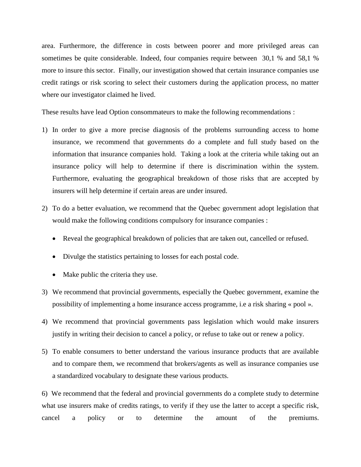area. Furthermore, the difference in costs between poorer and more privileged areas can sometimes be quite considerable. Indeed, four companies require between 30,1 % and 58,1 % more to insure this sector. Finally, our investigation showed that certain insurance companies use credit ratings or risk scoring to select their customers during the application process, no matter where our investigator claimed he lived.

These results have lead Option consommateurs to make the following recommendations :

- 1) In order to give a more precise diagnosis of the problems surrounding access to home insurance, we recommend that governments do a complete and full study based on the information that insurance companies hold. Taking a look at the criteria while taking out an insurance policy will help to determine if there is discrimination within the system. Furthermore, evaluating the geographical breakdown of those risks that are accepted by insurers will help determine if certain areas are under insured.
- 2) To do a better evaluation, we recommend that the Quebec government adopt legislation that would make the following conditions compulsory for insurance companies :
	- Reveal the geographical breakdown of policies that are taken out, cancelled or refused.
	- Divulge the statistics pertaining to losses for each postal code.
	- Make public the criteria they use.
- 3) We recommend that provincial governments, especially the Quebec government, examine the possibility of implementing a home insurance access programme, i.e a risk sharing « pool ».
- 4) We recommend that provincial governments pass legislation which would make insurers justify in writing their decision to cancel a policy, or refuse to take out or renew a policy.
- 5) To enable consumers to better understand the various insurance products that are available and to compare them, we recommend that brokers/agents as well as insurance companies use a standardized vocabulary to designate these various products.

6) We recommend that the federal and provincial governments do a complete study to determine what use insurers make of credits ratings, to verify if they use the latter to accept a specific risk, cancel a policy or to determine the amount of the premiums.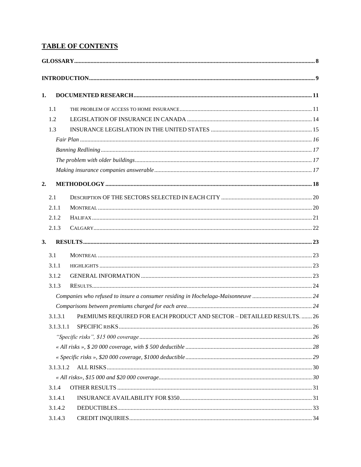# **TABLE OF CONTENTS**

| 1. |           |                                                                        |  |
|----|-----------|------------------------------------------------------------------------|--|
|    | 1.1       |                                                                        |  |
|    | 1.2       |                                                                        |  |
|    | 1.3       |                                                                        |  |
|    |           |                                                                        |  |
|    |           |                                                                        |  |
|    |           |                                                                        |  |
|    |           |                                                                        |  |
| 2. |           |                                                                        |  |
|    | 2.1       |                                                                        |  |
|    | 2.1.1     |                                                                        |  |
|    | 2.1.2     |                                                                        |  |
|    | 2.1.3     |                                                                        |  |
| 3. |           |                                                                        |  |
|    | 3.1       |                                                                        |  |
|    | 3.1.1     |                                                                        |  |
|    | 3.1.2     |                                                                        |  |
|    | 3.1.3     |                                                                        |  |
|    |           |                                                                        |  |
|    |           |                                                                        |  |
|    | 3.1.3.1   | PREMIUMS REQUIRED FOR EACH PRODUCT AND SECTOR - DETAILLED RESULTS.  26 |  |
|    | 3.1.3.1.1 |                                                                        |  |
|    |           |                                                                        |  |
|    |           |                                                                        |  |
|    |           |                                                                        |  |
|    | 3.1.3.1.2 |                                                                        |  |
|    |           |                                                                        |  |
|    | 3.1.4     |                                                                        |  |
|    | 3.1.4.1   |                                                                        |  |
|    | 3.1.4.2   |                                                                        |  |
|    | 3.1.4.3   |                                                                        |  |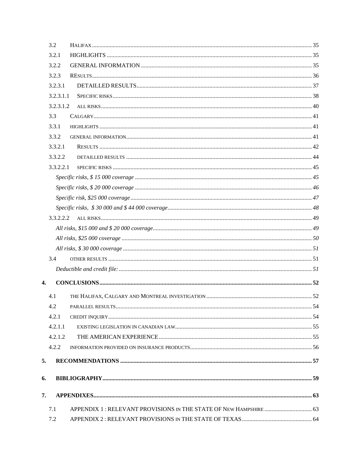|    | 3.2       |  |
|----|-----------|--|
|    | 3.2.1     |  |
|    | 3.2.2     |  |
|    | 3.2.3     |  |
|    | 3.2.3.1   |  |
|    | 3.2.3.1.1 |  |
|    | 3.2.3.1.2 |  |
|    | 3.3       |  |
|    | 3.3.1     |  |
|    | 3.3.2     |  |
|    | 3.3.2.1   |  |
|    | 3.3.2.2   |  |
|    | 3.3.2.2.1 |  |
|    |           |  |
|    |           |  |
|    |           |  |
|    |           |  |
|    | 3.3.2.2.2 |  |
|    |           |  |
|    |           |  |
|    |           |  |
|    | 3.4       |  |
|    |           |  |
| 4. |           |  |
|    |           |  |
|    | 4.1       |  |
|    | 4.2       |  |
|    | 4.2.1     |  |
|    | 4.2.1.1   |  |
|    | 4.2.1.2   |  |
|    | 4.2.2     |  |
| 5. |           |  |
|    |           |  |
| 6. |           |  |
| 7. |           |  |
|    |           |  |
|    | 7.1       |  |
|    | 7.2       |  |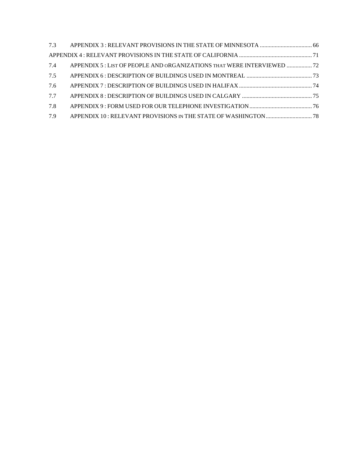| 7.4 | APPENDIX 5 : LIST OF PEOPLE AND ORGANIZATIONS THAT WERE INTERVIEWED  72 |  |
|-----|-------------------------------------------------------------------------|--|
| 7.5 |                                                                         |  |
| 7.6 |                                                                         |  |
| 7.7 |                                                                         |  |
| 7.8 |                                                                         |  |
| 7.9 |                                                                         |  |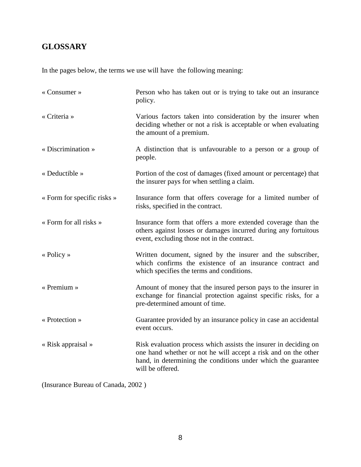# **GLOSSARY**

In the pages below, the terms we use will have the following meaning:

| « Consumer »                | Person who has taken out or is trying to take out an insurance<br>policy.                                                                                                                                               |
|-----------------------------|-------------------------------------------------------------------------------------------------------------------------------------------------------------------------------------------------------------------------|
| « Criteria »                | Various factors taken into consideration by the insurer when<br>deciding whether or not a risk is acceptable or when evaluating<br>the amount of a premium.                                                             |
| « Discrimination »          | A distinction that is unfavourable to a person or a group of<br>people.                                                                                                                                                 |
| « Deductible »              | Portion of the cost of damages (fixed amount or percentage) that<br>the insurer pays for when settling a claim.                                                                                                         |
| « Form for specific risks » | Insurance form that offers coverage for a limited number of<br>risks, specified in the contract.                                                                                                                        |
| « Form for all risks »      | Insurance form that offers a more extended coverage than the<br>others against losses or damages incurred during any fortuitous<br>event, excluding those not in the contract.                                          |
| « Policy »                  | Written document, signed by the insurer and the subscriber,<br>which confirms the existence of an insurance contract and<br>which specifies the terms and conditions.                                                   |
| $\triangleleft$ Premium »   | Amount of money that the insured person pays to the insurer in<br>exchange for financial protection against specific risks, for a<br>pre-determined amount of time.                                                     |
| « Protection »              | Guarantee provided by an insurance policy in case an accidental<br>event occurs.                                                                                                                                        |
| « Risk appraisal »          | Risk evaluation process which assists the insurer in deciding on<br>one hand whether or not he will accept a risk and on the other<br>hand, in determining the conditions under which the guarantee<br>will be offered. |

(Insurance Bureau of Canada, 2002 )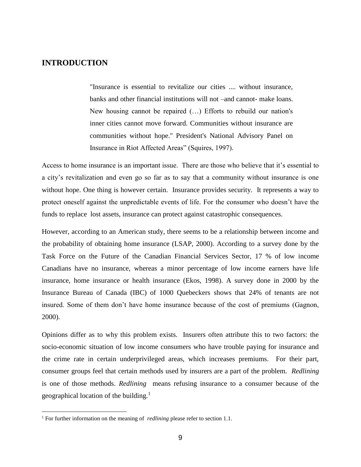## **INTRODUCTION**

"Insurance is essential to revitalize our cities .... without insurance, banks and other financial institutions will not –and cannot- make loans. New housing cannot be repaired (…) Efforts to rebuild our nation's inner cities cannot move forward. Communities without insurance are communities without hope." President's National Advisory Panel on Insurance in Riot Affected Areas" (Squires, 1997).

Access to home insurance is an important issue. There are those who believe that it's essential to a city's revitalization and even go so far as to say that a community without insurance is one without hope. One thing is however certain. Insurance provides security. It represents a way to protect oneself against the unpredictable events of life. For the consumer who doesn't have the funds to replace lost assets, insurance can protect against catastrophic consequences.

However, according to an American study, there seems to be a relationship between income and the probability of obtaining home insurance (LSAP, 2000). According to a survey done by the Task Force on the Future of the Canadian Financial Services Sector, 17 % of low income Canadians have no insurance, whereas a minor percentage of low income earners have life insurance, home insurance or health insurance (Ekos, 1998). A survey done in 2000 by the Insurance Bureau of Canada (IBC) of 1000 Quebeckers shows that 24% of tenants are not insured. Some of them don't have home insurance because of the cost of premiums (Gagnon, 2000).

Opinions differ as to why this problem exists. Insurers often attribute this to two factors: the socio-economic situation of low income consumers who have trouble paying for insurance and the crime rate in certain underprivileged areas, which increases premiums. For their part, consumer groups feel that certain methods used by insurers are a part of the problem. *Redlining*  is one of those methods. *Redlining* means refusing insurance to a consumer because of the geographical location of the building.<sup>1</sup>

<u>.</u>

<sup>&</sup>lt;sup>1</sup> For further information on the meaning of *redlining* please refer to section 1.1.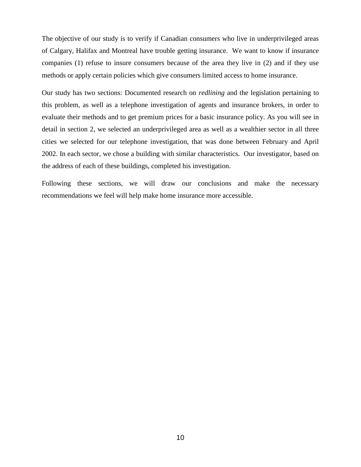The objective of our study is to verify if Canadian consumers who live in underprivileged areas of Calgary, Halifax and Montreal have trouble getting insurance. We want to know if insurance companies (1) refuse to insure consumers because of the area they live in (2) and if they use methods or apply certain policies which give consumers limited access to home insurance.

Our study has two sections: Documented research on *redlining* and the legislation pertaining to this problem, as well as a telephone investigation of agents and insurance brokers, in order to evaluate their methods and to get premium prices for a basic insurance policy. As you will see in detail in section 2, we selected an underprivileged area as well as a wealthier sector in all three cities we selected for our telephone investigation, that was done between February and April 2002. In each sector, we chose a building with similar characteristics. Our investigator, based on the address of each of these buildings, completed his investigation.

Following these sections, we will draw our conclusions and make the necessary recommendations we feel will help make home insurance more accessible.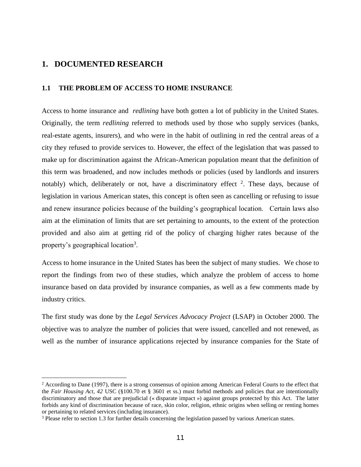## **1. DOCUMENTED RESEARCH**

<u>.</u>

### **1.1 THE PROBLEM OF ACCESS TO HOME INSURANCE**

Access to home insurance and *redlining* have both gotten a lot of publicity in the United States. Originally, the term *redlining* referred to methods used by those who supply services (banks, real-estate agents, insurers), and who were in the habit of outlining in red the central areas of a city they refused to provide services to. However, the effect of the legislation that was passed to make up for discrimination against the African-American population meant that the definition of this term was broadened, and now includes methods or policies (used by landlords and insurers notably) which, deliberately or not, have a discriminatory effect  $2$ . These days, because of legislation in various American states, this concept is often seen as cancelling or refusing to issue and renew insurance policies because of the building's geographical location. Certain laws also aim at the elimination of limits that are set pertaining to amounts, to the extent of the protection provided and also aim at getting rid of the policy of charging higher rates because of the property's geographical location<sup>3</sup>.

Access to home insurance in the United States has been the subject of many studies. We chose to report the findings from two of these studies, which analyze the problem of access to home insurance based on data provided by insurance companies, as well as a few comments made by industry critics.

The first study was done by the *Legal Services Advocacy Project* (LSAP) in October 2000. The objective was to analyze the number of policies that were issued, cancelled and not renewed, as well as the number of insurance applications rejected by insurance companies for the State of

 $2$  According to Dane (1997), there is a strong consensus of opinion among American Federal Courts to the effect that the *Fair Housing Act, 42* USC (§100.70 et § 3601 et ss.) must forbid methods and policies that are intentionnally discriminatory and those that are prejudicial (« disparate impact ») against groups protected by this Act. The latter forbids any kind of discrimination because of race, skin color, religion, ethnic origins when selling or renting homes or pertaining to related services (including insurance).

<sup>&</sup>lt;sup>3</sup> Please refer to section 1.3 for further details concerning the legislation passed by various American states.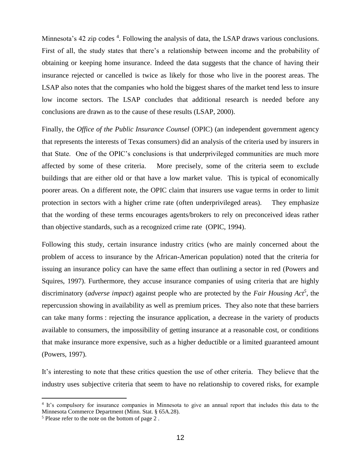Minnesota's 42 zip codes <sup>4</sup>. Following the analysis of data, the LSAP draws various conclusions. First of all, the study states that there's a relationship between income and the probability of obtaining or keeping home insurance. Indeed the data suggests that the chance of having their insurance rejected or cancelled is twice as likely for those who live in the poorest areas. The LSAP also notes that the companies who hold the biggest shares of the market tend less to insure low income sectors. The LSAP concludes that additional research is needed before any conclusions are drawn as to the cause of these results (LSAP, 2000).

Finally, the *Office of the Public Insurance Counsel* (OPIC) (an independent government agency that represents the interests of Texas consumers) did an analysis of the criteria used by insurers in that State. One of the OPIC's conclusions is that underprivileged communities are much more affected by some of these criteria. More precisely, some of the criteria seem to exclude buildings that are either old or that have a low market value. This is typical of economically poorer areas. On a different note, the OPIC claim that insurers use vague terms in order to limit protection in sectors with a higher crime rate (often underprivileged areas). They emphasize that the wording of these terms encourages agents/brokers to rely on preconceived ideas rather than objective standards, such as a recognized crime rate (OPIC, 1994).

Following this study, certain insurance industry critics (who are mainly concerned about the problem of access to insurance by the African-American population) noted that the criteria for issuing an insurance policy can have the same effect than outlining a sector in red (Powers and Squires, 1997). Furthermore, they accuse insurance companies of using criteria that are highly discriminatory (*adverse impact*) against people who are protected by the *Fair Housing Act<sup>5</sup>* , the repercussion showing in availability as well as premium prices. They also note that these barriers can take many forms : rejecting the insurance application, a decrease in the variety of products available to consumers, the impossibility of getting insurance at a reasonable cost, or conditions that make insurance more expensive, such as a higher deductible or a limited guaranteed amount (Powers, 1997).

It's interesting to note that these critics question the use of other criteria. They believe that the industry uses subjective criteria that seem to have no relationship to covered risks, for example

1

<sup>4</sup> It's compulsory for insurance companies in Minnesota to give an annual report that includes this data to the Minnesota Commerce Department (Minn. Stat. § 65A.28).

<sup>5</sup> Please refer to the note on the bottom of page 2 .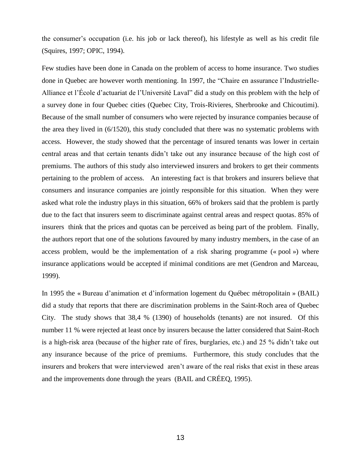the consumer's occupation (i.e. his job or lack thereof), his lifestyle as well as his credit file (Squires, 1997; OPIC, 1994).

Few studies have been done in Canada on the problem of access to home insurance. Two studies done in Quebec are however worth mentioning. In 1997, the "Chaire en assurance l'Industrielle-Alliance et l'École d'actuariat de l'Université Laval" did a study on this problem with the help of a survey done in four Quebec cities (Quebec City, Trois-Rivieres, Sherbrooke and Chicoutimi). Because of the small number of consumers who were rejected by insurance companies because of the area they lived in (6/1520), this study concluded that there was no systematic problems with access. However, the study showed that the percentage of insured tenants was lower in certain central areas and that certain tenants didn't take out any insurance because of the high cost of premiums. The authors of this study also interviewed insurers and brokers to get their comments pertaining to the problem of access. An interesting fact is that brokers and insurers believe that consumers and insurance companies are jointly responsible for this situation. When they were asked what role the industry plays in this situation, 66% of brokers said that the problem is partly due to the fact that insurers seem to discriminate against central areas and respect quotas. 85% of insurers think that the prices and quotas can be perceived as being part of the problem. Finally, the authors report that one of the solutions favoured by many industry members, in the case of an access problem, would be the implementation of a risk sharing programme (« pool ») where insurance applications would be accepted if minimal conditions are met (Gendron and Marceau, 1999).

In 1995 the « Bureau d'animation et d'information logement du Québec métropolitain » (BAIL) did a study that reports that there are discrimination problems in the Saint-Roch area of Quebec City. The study shows that 38,4 % (1390) of households (tenants) are not insured. Of this number 11 % were rejected at least once by insurers because the latter considered that Saint-Roch is a high-risk area (because of the higher rate of fires, burglaries, etc.) and 25 % didn't take out any insurance because of the price of premiums. Furthermore, this study concludes that the insurers and brokers that were interviewed aren't aware of the real risks that exist in these areas and the improvements done through the years (BAIL and CRÉEQ, 1995).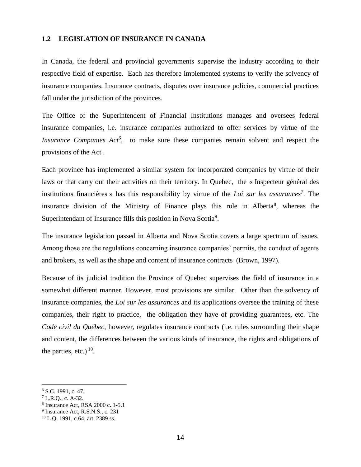### **1.2 LEGISLATION OF INSURANCE IN CANADA**

In Canada, the federal and provincial governments supervise the industry according to their respective field of expertise. Each has therefore implemented systems to verify the solvency of insurance companies. Insurance contracts, disputes over insurance policies, commercial practices fall under the jurisdiction of the provinces.

The Office of the Superintendent of Financial Institutions manages and oversees federal insurance companies, i.e. insurance companies authorized to offer services by virtue of the *Insurance Companies Act<sup>6</sup>*, to make sure these companies remain solvent and respect the provisions of the Act .

Each province has implemented a similar system for incorporated companies by virtue of their laws or that carry out their activities on their territory. In Quebec, the « Inspecteur général des institutions financières » has this responsibility by virtue of the *Loi sur les assurances<sup>7</sup>* . The insurance division of the Ministry of Finance plays this role in Alberta<sup>8</sup>, whereas the Superintendant of Insurance fills this position in Nova Scotia<sup>9</sup>.

The insurance legislation passed in Alberta and Nova Scotia covers a large spectrum of issues. Among those are the regulations concerning insurance companies' permits, the conduct of agents and brokers, as well as the shape and content of insurance contracts (Brown, 1997).

Because of its judicial tradition the Province of Quebec supervises the field of insurance in a somewhat different manner. However, most provisions are similar. Other than the solvency of insurance companies, the *Loi sur les assurances* and its applications oversee the training of these companies, their right to practice, the obligation they have of providing guarantees, etc. The *Code civil du Québec*, however, regulates insurance contracts (i.e. rules surrounding their shape and content, the differences between the various kinds of insurance, the rights and obligations of the parties, etc.)  $10$ .

<u>.</u>

 $6$  S.C. 1991, c. 47.

<sup>7</sup> L.R.Q., c. A-32.

<sup>8</sup> Insurance Act, RSA 2000 c. 1-5.1

<sup>&</sup>lt;sup>9</sup> Insurance Act, R.S.N.S., c. 231

 $10$  L.Q. 1991, c.64, art. 2389 ss.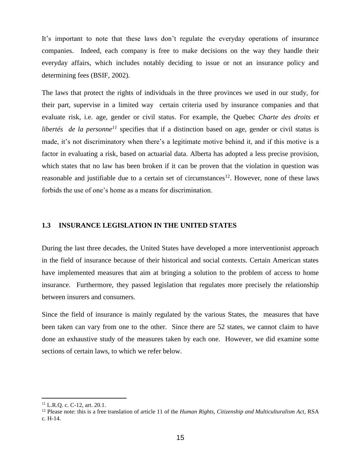It's important to note that these laws don't regulate the everyday operations of insurance companies. Indeed, each company is free to make decisions on the way they handle their everyday affairs, which includes notably deciding to issue or not an insurance policy and determining fees (BSIF, 2002).

The laws that protect the rights of individuals in the three provinces we used in our study, for their part, supervise in a limited way certain criteria used by insurance companies and that evaluate risk, i.e. age, gender or civil status. For example, the Quebec *Charte des droits et libertés de la personne<sup>11</sup>* specifies that if a distinction based on age, gender or civil status is made, it's not discriminatory when there's a legitimate motive behind it, and if this motive is a factor in evaluating a risk, based on actuarial data. Alberta has adopted a less precise provision, which states that no law has been broken if it can be proven that the violation in question was reasonable and justifiable due to a certain set of circumstances<sup>12</sup>. However, none of these laws forbids the use of one's home as a means for discrimination.

### **1.3 INSURANCE LEGISLATION IN THE UNITED STATES**

During the last three decades, the United States have developed a more interventionist approach in the field of insurance because of their historical and social contexts. Certain American states have implemented measures that aim at bringing a solution to the problem of access to home insurance. Furthermore, they passed legislation that regulates more precisely the relationship between insurers and consumers.

Since the field of insurance is mainly regulated by the various States, the measures that have been taken can vary from one to the other. Since there are 52 states, we cannot claim to have done an exhaustive study of the measures taken by each one. However, we did examine some sections of certain laws, to which we refer below.

1

<sup>11</sup> L.R.Q. c. C-12, art. 20.1.

<sup>12</sup> Please note: this is a free translation of article 11 of the *Human Rights, Citizenship and Multiculturalism Act*, RSA c. H-14.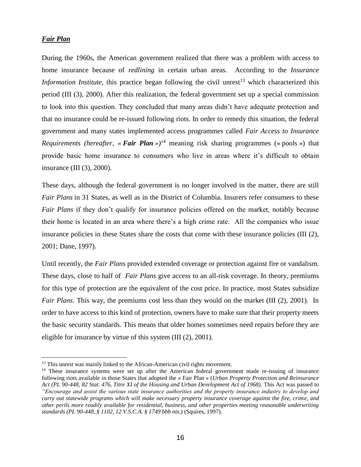### *Fair Plan*

1

During the 1960s, the American government realized that there was a problem with access to home insurance because of *redlining* in certain urban areas. According to the *Insurance Information Institute*, this practice began following the civil unrest<sup>13</sup> which characterized this period (III (3), 2000). After this realization, the federal government set up a special commission to look into this question. They concluded that many areas didn't have adequate protection and that no insurance could be re-issued following riots. In order to remedy this situation, the federal government and many states implemented access programmes called *Fair Access to Insurance Requirements (hereafter, « Fair Plan »)<sup>14</sup> meaning risk sharing programmes (« pools ») that* provide basic home insurance to consumers who live in areas where it's difficult to obtain insurance (III (3), 2000).

These days, although the federal government is no longer involved in the matter, there are still *Fair Plans* in 31 States, as well as in the District of Columbia. Insurers refer consumers to these *Fair Plans* if they don't qualify for insurance policies offered on the market, notably because their home is located in an area where there's a high crime rate. All the companies who issue insurance policies in these States share the costs that come with these insurance policies (III (2), 2001; Dane, 1997).

Until recently, the *Fair Plans* provided extended coverage or protection against fire or vandalism. These days, close to half of *Fair Plans* give access to an all-risk coverage. In theory, premiums for this type of protection are the equivalent of the cost price. In practice, most States subsidize *Fair Plans*. This way, the premiums cost less than they would on the market (III (2), 2001). In order to have access to this kind of protection, owners have to make sure that their property meets the basic security standards. This means that older homes sometimes need repairs before they are eligible for insurance by virtue of this system (III (2), 2001).

<sup>&</sup>lt;sup>13</sup> This unrest was mainly linked to the African-American civil rights movement.

<sup>&</sup>lt;sup>14</sup> These insurance systems were set up after the American federal government made re-issuing of insurance following riots available in those States that adopted the « Fair Plan » (*Urban Property Protection and Reinsurance Act (PL 90-448, 82 Stat. 476, Titre XI of the Housing and Urban Development Act of 1968).* This Act was passed to *"Encourage and assist the various state insurance authorities and the property insurance industry to develop and carry out statewide programs which will make necessary property insurance coverage against the fire, crime, and other perils more readily available for residential, business, and other properties meeting reasonable underwriting standards (PL 90-448, § 1102, 12 V.S.C.A. § 1749 bbb nts.)* (Squires, 1997).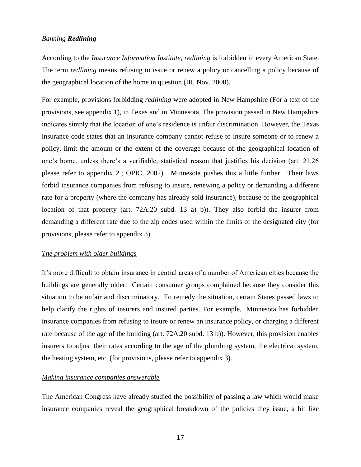### *Banning Redlining*

According to the *Insurance Information Institute*, *redlining* is forbidden in every American State. The term *redlining* means refusing to issue or renew a policy or cancelling a policy because of the geographical location of the home in question (III, Nov. 2000).

For example, provisions forbidding *redlining* were adopted in New Hampshire (For a text of the provisions, see appendix 1), in Texas and in Minnesota. The provision passed in New Hampshire indicates simply that the location of one's residence is unfair discrimination. However, the Texas insurance code states that an insurance company cannot refuse to insure someone or to renew a policy, limit the amount or the extent of the coverage because of the geographical location of one's home, unless there's a verifiable, statistical reason that justifies his decision (art. 21.26 please refer to appendix 2 ; OPIC, 2002). Minnesota pushes this a little further. Their laws forbid insurance companies from refusing to insure, renewing a policy or demanding a different rate for a property (where the company has already sold insurance), because of the geographical location of that property (art. 72A.20 subd. 13 a) b)). They also forbid the insurer from demanding a different rate due to the zip codes used within the limits of the designated city (for provisions, please refer to appendix 3).

### *The problem with older buildings*

It's more difficult to obtain insurance in central areas of a number of American cities because the buildings are generally older. Certain consumer groups complained because they consider this situation to be unfair and discriminatory. To remedy the situation, certain States passed laws to help clarify the rights of insurers and insured parties. For example, Minnesota has forbidden insurance companies from refusing to insure or renew an insurance policy, or charging a different rate because of the age of the building (art. 72A.20 subd. 13 b)). However, this provision enables insurers to adjust their rates according to the age of the plumbing system, the electrical system, the heating system, etc. (for provisions, please refer to appendix 3).

#### *Making insurance companies answerable*

The American Congress have already studied the possibility of passing a law which would make insurance companies reveal the geographical breakdown of the policies they issue, a bit like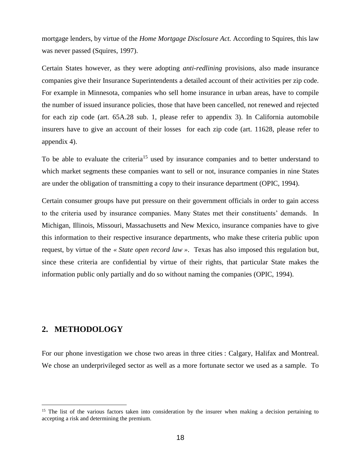mortgage lenders, by virtue of the *Home Mortgage Disclosure Act.* According to Squires, this law was never passed (Squires, 1997).

Certain States however, as they were adopting *anti-redlining* provisions, also made insurance companies give their Insurance Superintendents a detailed account of their activities per zip code. For example in Minnesota, companies who sell home insurance in urban areas, have to compile the number of issued insurance policies, those that have been cancelled, not renewed and rejected for each zip code (art. 65A.28 sub. 1, please refer to appendix 3). In California automobile insurers have to give an account of their losses for each zip code (art. 11628, please refer to appendix 4).

To be able to evaluate the criteria<sup>15</sup> used by insurance companies and to better understand to which market segments these companies want to sell or not, insurance companies in nine States are under the obligation of transmitting a copy to their insurance department (OPIC, 1994).

Certain consumer groups have put pressure on their government officials in order to gain access to the criteria used by insurance companies. Many States met their constituents' demands. In Michigan, Illinois, Missouri, Massachusetts and New Mexico, insurance companies have to give this information to their respective insurance departments, who make these criteria public upon request, by virtue of the *« State open record law »*. Texas has also imposed this regulation but, since these criteria are confidential by virtue of their rights, that particular State makes the information public only partially and do so without naming the companies (OPIC, 1994).

### **2. METHODOLOGY**

<u>.</u>

For our phone investigation we chose two areas in three cities : Calgary, Halifax and Montreal. We chose an underprivileged sector as well as a more fortunate sector we used as a sample. To

<sup>&</sup>lt;sup>15</sup> The list of the various factors taken into consideration by the insurer when making a decision pertaining to accepting a risk and determining the premium.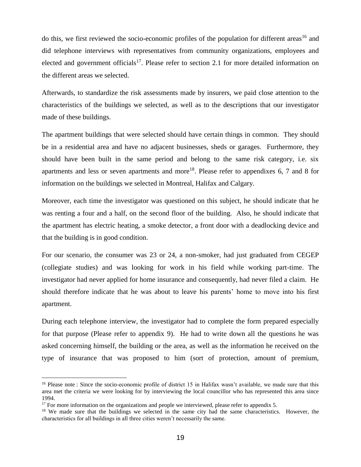do this, we first reviewed the socio-economic profiles of the population for different areas<sup>16</sup> and did telephone interviews with representatives from community organizations, employees and elected and government officials<sup>17</sup>. Please refer to section 2.1 for more detailed information on the different areas we selected.

Afterwards, to standardize the risk assessments made by insurers, we paid close attention to the characteristics of the buildings we selected, as well as to the descriptions that our investigator made of these buildings.

The apartment buildings that were selected should have certain things in common. They should be in a residential area and have no adjacent businesses, sheds or garages. Furthermore, they should have been built in the same period and belong to the same risk category, i.e. six apartments and less or seven apartments and more<sup>18</sup>. Please refer to appendixes 6, 7 and 8 for information on the buildings we selected in Montreal, Halifax and Calgary.

Moreover, each time the investigator was questioned on this subject, he should indicate that he was renting a four and a half, on the second floor of the building. Also, he should indicate that the apartment has electric heating, a smoke detector, a front door with a deadlocking device and that the building is in good condition.

For our scenario, the consumer was 23 or 24, a non-smoker, had just graduated from CEGEP (collegiate studies) and was looking for work in his field while working part-time. The investigator had never applied for home insurance and consequently, had never filed a claim. He should therefore indicate that he was about to leave his parents' home to move into his first apartment.

During each telephone interview, the investigator had to complete the form prepared especially for that purpose (Please refer to appendix 9). He had to write down all the questions he was asked concerning himself, the building or the area, as well as the information he received on the type of insurance that was proposed to him (sort of protection, amount of premium,

<u>.</u>

<sup>&</sup>lt;sup>16</sup> Please note : Since the socio-economic profile of district 15 in Halifax wasn't available, we made sure that this area met the criteria we were looking for by interviewing the local councillor who has represented this area since 1994.

 $17$  For more information on the organizations and people we interviewed, please refer to appendix 5.

<sup>&</sup>lt;sup>18</sup> We made sure that the buildings we selected in the same city had the same characteristics. However, the characteristics for all buildings in all three cities weren't necessarily the same.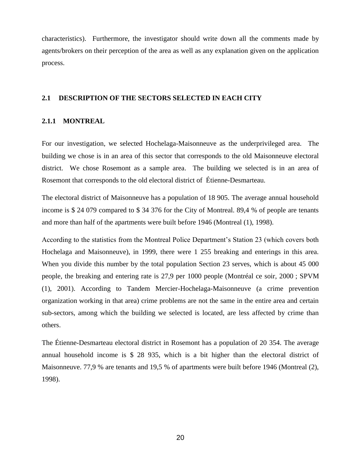characteristics). Furthermore, the investigator should write down all the comments made by agents/brokers on their perception of the area as well as any explanation given on the application process.

### **2.1 DESCRIPTION OF THE SECTORS SELECTED IN EACH CITY**

#### **2.1.1 MONTREAL**

For our investigation, we selected Hochelaga-Maisonneuve as the underprivileged area. The building we chose is in an area of this sector that corresponds to the old Maisonneuve electoral district. We chose Rosemont as a sample area. The building we selected is in an area of Rosemont that corresponds to the old electoral district of Étienne-Desmarteau.

The electoral district of Maisonneuve has a population of 18 905. The average annual household income is \$ 24 079 compared to \$ 34 376 for the City of Montreal. 89,4 % of people are tenants and more than half of the apartments were built before 1946 (Montreal (1), 1998).

According to the statistics from the Montreal Police Department's Station 23 (which covers both Hochelaga and Maisonneuve), in 1999, there were 1 255 breaking and enterings in this area. When you divide this number by the total population Section 23 serves, which is about 45 000 people, the breaking and entering rate is 27,9 per 1000 people (Montréal ce soir, 2000 ; SPVM (1), 2001). According to Tandem Mercier-Hochelaga-Maisonneuve (a crime prevention organization working in that area) crime problems are not the same in the entire area and certain sub-sectors, among which the building we selected is located, are less affected by crime than others.

The Étienne-Desmarteau electoral district in Rosemont has a population of 20 354. The average annual household income is \$ 28 935, which is a bit higher than the electoral district of Maisonneuve. 77,9 % are tenants and 19,5 % of apartments were built before 1946 (Montreal (2), 1998).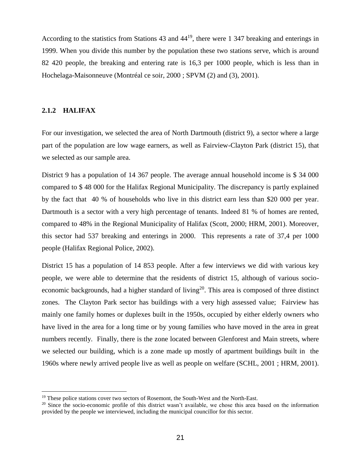According to the statistics from Stations 43 and 44<sup>19</sup>, there were 1 347 breaking and enterings in 1999. When you divide this number by the population these two stations serve, which is around 82 420 people, the breaking and entering rate is 16,3 per 1000 people, which is less than in Hochelaga-Maisonneuve (Montréal ce soir, 2000 ; SPVM (2) and (3), 2001).

### **2.1.2 HALIFAX**

<u>.</u>

For our investigation, we selected the area of North Dartmouth (district 9), a sector where a large part of the population are low wage earners, as well as Fairview-Clayton Park (district 15), that we selected as our sample area.

District 9 has a population of 14 367 people. The average annual household income is \$ 34 000 compared to \$ 48 000 for the Halifax Regional Municipality. The discrepancy is partly explained by the fact that 40 % of households who live in this district earn less than \$20 000 per year. Dartmouth is a sector with a very high percentage of tenants. Indeed 81 % of homes are rented, compared to 48% in the Regional Municipality of Halifax (Scott, 2000; HRM, 2001). Moreover, this sector had 537 breaking and enterings in 2000. This represents a rate of 37,4 per 1000 people (Halifax Regional Police, 2002).

District 15 has a population of 14 853 people. After a few interviews we did with various key people, we were able to determine that the residents of district 15, although of various socioeconomic backgrounds, had a higher standard of living<sup>20</sup>. This area is composed of three distinct zones. The Clayton Park sector has buildings with a very high assessed value; Fairview has mainly one family homes or duplexes built in the 1950s, occupied by either elderly owners who have lived in the area for a long time or by young families who have moved in the area in great numbers recently. Finally, there is the zone located between Glenforest and Main streets, where we selected our building, which is a zone made up mostly of apartment buildings built in the 1960s where newly arrived people live as well as people on welfare (SCHL, 2001 ; HRM, 2001).

<sup>&</sup>lt;sup>19</sup> These police stations cover two sectors of Rosemont, the South-West and the North-East.

<sup>&</sup>lt;sup>20</sup> Since the socio-economic profile of this district wasn't available, we chose this area based on the information provided by the people we interviewed, including the municipal councillor for this sector.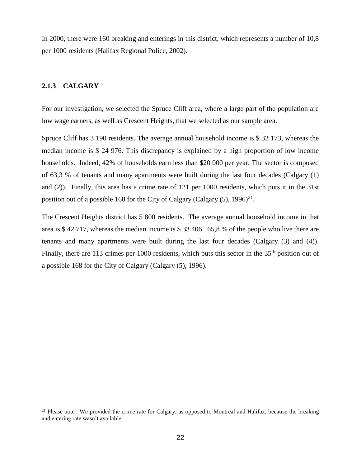In 2000, there were 160 breaking and enterings in this district, which represents a number of 10,8 per 1000 residents (Halifax Regional Police, 2002).

### **2.1.3 CALGARY**

<u>.</u>

For our investigation, we selected the Spruce Cliff area, where a large part of the population are low wage earners, as well as Crescent Heights, that we selected as our sample area.

Spruce Cliff has 3 190 residents. The average annual household income is \$ 32 173, whereas the median income is \$ 24 976. This discrepancy is explained by a high proportion of low income households. Indeed, 42% of households earn less than \$20 000 per year. The sector is composed of 63,3 % of tenants and many apartments were built during the last four decades (Calgary (1) and (2)). Finally, this area has a crime rate of 121 per 1000 residents, which puts it in the 31st position out of a possible 168 for the City of Calgary (Calgary  $(5)$ , 1996)<sup>21</sup>.

The Crescent Heights district has 5 800 residents. The average annual household income in that area is \$ 42 717, whereas the median income is \$ 33 406. 65,8 % of the people who live there are tenants and many apartments were built during the last four decades (Calgary (3) and (4)). Finally, there are 113 crimes per 1000 residents, which puts this sector in the 35<sup>th</sup> position out of a possible 168 for the City of Calgary (Calgary (5), 1996).

<sup>&</sup>lt;sup>21</sup> Please note : We provided the crime rate for Calgary, as opposed to Montreal and Halifax, because the breaking and entering rate wasn't available.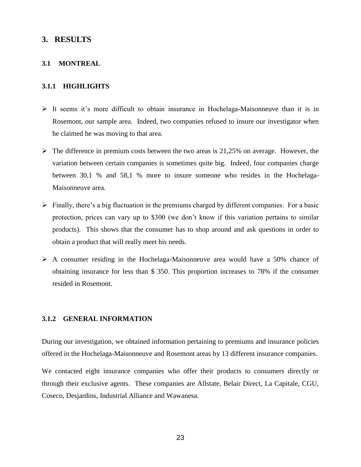### **3. RESULTS**

### **3.1 MONTREAL**

### **3.1.1 HIGHLIGHTS**

- $\triangleright$  It seems it's more difficult to obtain insurance in Hochelaga-Maisonneuve than it is in Rosemont, our sample area. Indeed, two companies refused to insure our investigator when he claimed he was moving to that area.
- $\triangleright$  The difference in premium costs between the two areas is 21,25% on average. However, the variation between certain companies is sometimes quite big. Indeed, four companies charge between 30,1 % and 58,1 % more to insure someone who resides in the Hochelaga-Maisonneuve area.
- $\triangleright$  Finally, there's a big fluctuation in the premiums charged by different companies. For a basic protection, prices can vary up to \$300 (we don't know if this variation pertains to similar products). This shows that the consumer has to shop around and ask questions in order to obtain a product that will really meet his needs.
- $\triangleright$  A consumer residing in the Hochelaga-Maisonneuve area would have a 50% chance of obtaining insurance for less than \$ 350. This proportion increases to 78% if the consumer resided in Rosemont.

### **3.1.2 GENERAL INFORMATION**

During our investigation, we obtained information pertaining to premiums and insurance policies offered in the Hochelaga-Maisonneuve and Rosemont areas by 13 different insurance companies.

We contacted eight insurance companies who offer their products to consumers directly or through their exclusive agents. These companies are Allstate, Belair Direct, La Capitale, CGU, Coseco, Desjardins, Industrial Alliance and Wawanesa.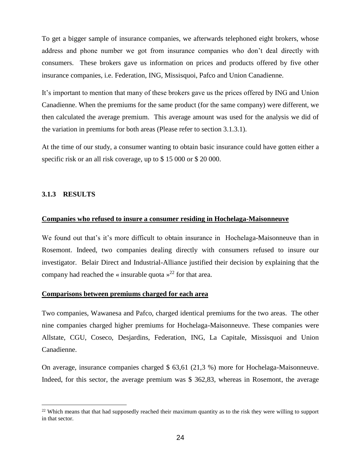To get a bigger sample of insurance companies, we afterwards telephoned eight brokers, whose address and phone number we got from insurance companies who don't deal directly with consumers. These brokers gave us information on prices and products offered by five other insurance companies, i.e. Federation, ING, Missisquoi, Pafco and Union Canadienne.

It's important to mention that many of these brokers gave us the prices offered by ING and Union Canadienne. When the premiums for the same product (for the same company) were different, we then calculated the average premium. This average amount was used for the analysis we did of the variation in premiums for both areas (Please refer to section 3.1.3.1).

At the time of our study, a consumer wanting to obtain basic insurance could have gotten either a specific risk or an all risk coverage, up to \$15 000 or \$20 000.

### **3.1.3 RESULTS**

<u>.</u>

### **Companies who refused to insure a consumer residing in Hochelaga-Maisonneuve**

We found out that's it's more difficult to obtain insurance in Hochelaga-Maisonneuve than in Rosemont. Indeed, two companies dealing directly with consumers refused to insure our investigator. Belair Direct and Industrial-Alliance justified their decision by explaining that the company had reached the « insurable quota  $\frac{1}{2}$  for that area.

### **Comparisons between premiums charged for each area**

Two companies, Wawanesa and Pafco, charged identical premiums for the two areas. The other nine companies charged higher premiums for Hochelaga-Maisonneuve. These companies were Allstate, CGU, Coseco, Desjardins, Federation, ING, La Capitale, Missisquoi and Union Canadienne.

On average, insurance companies charged \$ 63,61 (21,3 %) more for Hochelaga-Maisonneuve. Indeed, for this sector, the average premium was \$ 362,83, whereas in Rosemont, the average

<sup>&</sup>lt;sup>22</sup> Which means that that had supposedly reached their maximum quantity as to the risk they were willing to support in that sector.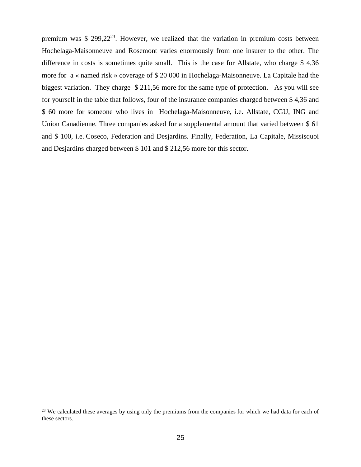premium was \$ 299,22 $^{23}$ . However, we realized that the variation in premium costs between Hochelaga-Maisonneuve and Rosemont varies enormously from one insurer to the other. The difference in costs is sometimes quite small. This is the case for Allstate, who charge \$ 4,36 more for a « named risk » coverage of \$ 20 000 in Hochelaga-Maisonneuve. La Capitale had the biggest variation. They charge \$ 211,56 more for the same type of protection. As you will see for yourself in the table that follows, four of the insurance companies charged between \$ 4,36 and \$ 60 more for someone who lives in Hochelaga-Maisonneuve, i.e. Allstate, CGU, ING and Union Canadienne. Three companies asked for a supplemental amount that varied between \$ 61 and \$ 100, i.e. Coseco, Federation and Desjardins. Finally, Federation, La Capitale, Missisquoi and Desjardins charged between \$ 101 and \$ 212,56 more for this sector.

<u>.</u>

<sup>&</sup>lt;sup>23</sup> We calculated these averages by using only the premiums from the companies for which we had data for each of these sectors.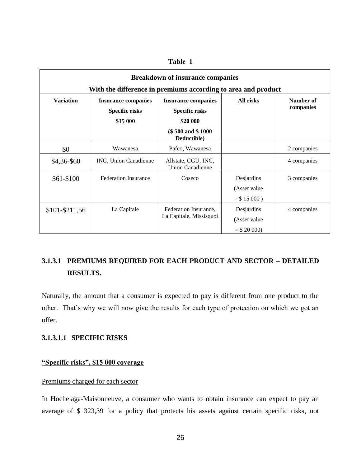| <b>Breakdown of insurance companies</b><br>With the difference in premiums according to area and product |                                                          |                                                                 |                 |                        |  |  |
|----------------------------------------------------------------------------------------------------------|----------------------------------------------------------|-----------------------------------------------------------------|-----------------|------------------------|--|--|
| <b>Variation</b>                                                                                         | <b>Insurance companies</b><br>Specific risks<br>\$15 000 | <b>Insurance companies</b><br><b>Specific risks</b><br>\$20 000 | All risks       | Number of<br>companies |  |  |
|                                                                                                          |                                                          | (\$500 and \$1000)<br>Deductible)                               |                 |                        |  |  |
| \$0                                                                                                      | Wawanesa                                                 | Pafco, Wawanesa                                                 |                 | 2 companies            |  |  |
| \$4,36-\$60                                                                                              | ING, Union Canadienne                                    | Allstate, CGU, ING,<br><b>Union Canadienne</b>                  |                 | 4 companies            |  |  |
| $$61-$100$                                                                                               | <b>Federation Insurance</b>                              | Coseco                                                          | Desjardins      | 3 companies            |  |  |
|                                                                                                          |                                                          |                                                                 | (Asset value)   |                        |  |  |
|                                                                                                          |                                                          |                                                                 | $=$ \$ 15 000 ) |                        |  |  |
| \$101-\$211,56                                                                                           | La Capitale                                              | Federation Insurance,                                           | Desjardins      | 4 companies            |  |  |
|                                                                                                          |                                                          | La Capitale, Missisquoi                                         | (Asset value)   |                        |  |  |
|                                                                                                          |                                                          |                                                                 | $=$ \$ 20 000)  |                        |  |  |

### **Table 1**

# **3.1.3.1 PREMIUMS REQUIRED FOR EACH PRODUCT AND SECTOR – DETAILED RESULTS.**

Naturally, the amount that a consumer is expected to pay is different from one product to the other. That's why we will now give the results for each type of protection on which we got an offer.

### **3.1.3.1.1 SPECIFIC RISKS**

### **"Specific risks", \$15 000 coverage**

### Premiums charged for each sector

In Hochelaga-Maisonneuve, a consumer who wants to obtain insurance can expect to pay an average of \$ 323,39 for a policy that protects his assets against certain specific risks, not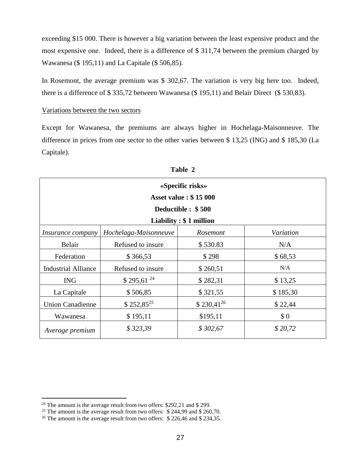exceeding \$15 000. There is however a big variation between the least expensive product and the most expensive one. Indeed, there is a difference of \$ 311,74 between the premium charged by Wawanesa (\$ 195,11) and La Capitale (\$ 506,85).

In Rosemont, the average premium was \$ 302,67. The variation is very big here too. Indeed, there is a difference of \$ 335,72 between Wawanesa (\$ 195,11) and Belair Direct (\$ 530,83).

### Variations between the two sectors

Except for Wawanesa, the premiums are always higher in Hochelaga-Maisonneuve. The difference in prices from one sector to the other varies between \$ 13,25 (ING) and \$ 185,30 (La Capitale).

| «Specific risks»           |                                                |                              |          |  |  |  |
|----------------------------|------------------------------------------------|------------------------------|----------|--|--|--|
|                            |                                                | <b>Asset value: \$15 000</b> |          |  |  |  |
|                            |                                                | Deductible : \$500           |          |  |  |  |
|                            |                                                | Liability $: $1$ million     |          |  |  |  |
| <i>Insurance company</i>   | Variation<br>Hochelaga-Maisonneuve<br>Rosemont |                              |          |  |  |  |
| Belair                     | Refused to insure                              | \$530.83                     | N/A      |  |  |  |
| Federation                 | \$366,53                                       | \$298                        | \$68,53  |  |  |  |
| <b>Industrial Alliance</b> | Refused to insure                              | \$260,51                     | N/A      |  |  |  |
| <b>ING</b>                 | $$295,61^{24}$                                 | \$282,31                     | \$13,25  |  |  |  |
| La Capitale                | \$506,85                                       | \$321,55                     | \$185,30 |  |  |  |
| <b>Union Canadienne</b>    | $$252,85^{25}$                                 | $$230,41^{26}$               | \$22,44  |  |  |  |
| Wawanesa                   | \$195,11                                       | \$195,11                     | \$0      |  |  |  |
| Average premium            | \$323,39                                       | \$302,67                     | \$20,72  |  |  |  |

| <b>Table</b> |  |
|--------------|--|
|--------------|--|

1

<sup>&</sup>lt;sup>24</sup> The amount is the average result from two offers: \$292,21 and \$ 299.

<sup>&</sup>lt;sup>25</sup> The amount is the average result from two offers:  $$ 244,99$  and  $$ 260,70$ .

<sup>&</sup>lt;sup>26</sup> The amount is the average result from two offers:  $$ 226,46$  and  $$ 234,35$ .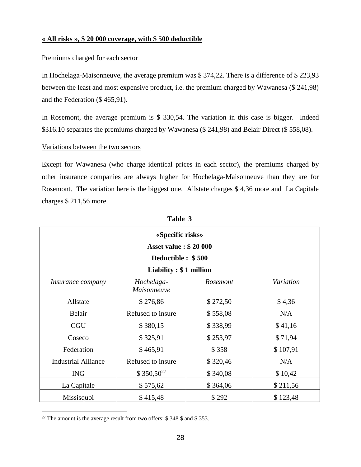### **« All risks », \$ 20 000 coverage, with \$ 500 deductible**

### Premiums charged for each sector

In Hochelaga-Maisonneuve, the average premium was \$ 374,22. There is a difference of \$ 223,93 between the least and most expensive product, i.e. the premium charged by Wawanesa (\$ 241,98) and the Federation (\$ 465,91).

In Rosemont, the average premium is \$ 330,54. The variation in this case is bigger. Indeed \$316.10 separates the premiums charged by Wawanesa (\$ 241,98) and Belair Direct (\$ 558,08).

### Variations between the two sectors

Except for Wawanesa (who charge identical prices in each sector), the premiums charged by other insurance companies are always higher for Hochelaga-Maisonneuve than they are for Rosemont. The variation here is the biggest one. Allstate charges \$ 4,36 more and La Capitale charges \$ 211,56 more.

| «Specific risks»           |                              |          |           |  |  |
|----------------------------|------------------------------|----------|-----------|--|--|
|                            | <b>Asset value: \$20 000</b> |          |           |  |  |
|                            | Deductible : \$500           |          |           |  |  |
|                            | Liability: \$1 million       |          |           |  |  |
| <i>Insurance company</i>   | Hochelaga-<br>Maisonneuve    | Rosemont | Variation |  |  |
| Allstate                   | \$276,86                     | \$272,50 | \$4,36    |  |  |
| Belair                     | Refused to insure            | \$558,08 | N/A       |  |  |
| <b>CGU</b>                 | \$380,15                     | \$338,99 | \$41,16   |  |  |
| Coseco                     | \$325,91                     | \$253,97 | \$71,94   |  |  |
| Federation                 | \$465,91                     | \$358    | \$107,91  |  |  |
| <b>Industrial Alliance</b> | Refused to insure            | \$320,46 | N/A       |  |  |
| <b>ING</b>                 | $$350,50^{27}$               | \$340,08 | \$10,42   |  |  |
| La Capitale                | \$575,62                     | \$364,06 | \$211,56  |  |  |
| Missisquoi                 | \$415,48                     | \$292    | \$123,48  |  |  |

**Table 3**

<u>.</u>

<sup>&</sup>lt;sup>27</sup> The amount is the average result from two offers: \$348 \$ and \$353.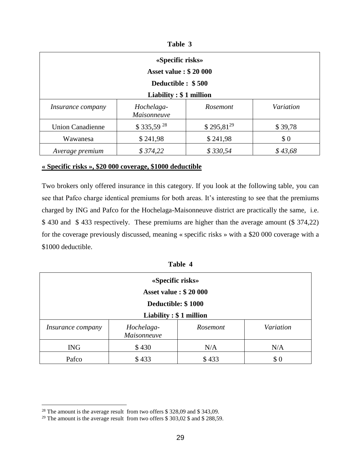| `able |  |
|-------|--|
|-------|--|

| «Specific risks»<br><b>Asset value: \$20 000</b><br>Deductible : \$500                                            |                |                |         |  |  |
|-------------------------------------------------------------------------------------------------------------------|----------------|----------------|---------|--|--|
| Liability $: $1$ million<br>Variation<br>Hochelaga-<br><b>Rosemont</b><br><i>Insurance company</i><br>Maisonneuve |                |                |         |  |  |
| <b>Union Canadienne</b>                                                                                           | $$335,59^{28}$ | $$295,81^{29}$ | \$39,78 |  |  |
| Wawanesa                                                                                                          | \$241,98       | \$241,98       | \$0     |  |  |
| Average premium                                                                                                   | \$374,22       | \$330,54       | \$43,68 |  |  |

### **« Specific risks », \$20 000 coverage, \$1000 deductible**

Two brokers only offered insurance in this category. If you look at the following table, you can see that Pafco charge identical premiums for both areas. It's interesting to see that the premiums charged by ING and Pafco for the Hochelaga-Maisonneuve district are practically the same, i.e. \$ 430 and \$ 433 respectively. These premiums are higher than the average amount (\$ 374,22) for the coverage previously discussed, meaning « specific risks » with a \$20 000 coverage with a \$1000 deductible.

| 'able |  |
|-------|--|
|-------|--|

| «Specific risks»<br><b>Asset value: \$20 000</b><br>Deductible: \$1000<br>Liability $: $1$ million |       |       |     |  |  |
|----------------------------------------------------------------------------------------------------|-------|-------|-----|--|--|
|                                                                                                    |       |       |     |  |  |
| \$430<br>N/A<br><b>ING</b><br>N/A                                                                  |       |       |     |  |  |
| Pafco                                                                                              | \$433 | \$433 | \$0 |  |  |

<u>.</u>

 $28$  The amount is the average result from two offers \$ 328,09 and \$ 343,09.

<sup>&</sup>lt;sup>29</sup> The amount is the average result from two offers  $$303,02$   $$$  and  $$288,59$ .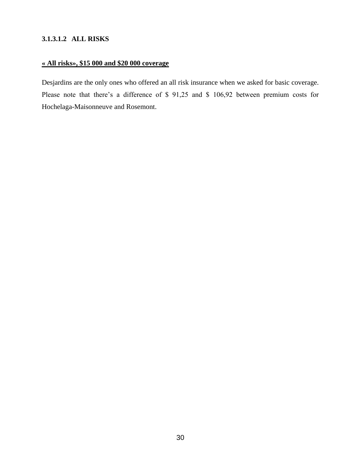### **3.1.3.1.2 ALL RISKS**

# **« All risks», \$15 000 and \$20 000 coverage**

Desjardins are the only ones who offered an all risk insurance when we asked for basic coverage. Please note that there's a difference of \$ 91,25 and \$ 106,92 between premium costs for Hochelaga-Maisonneuve and Rosemont.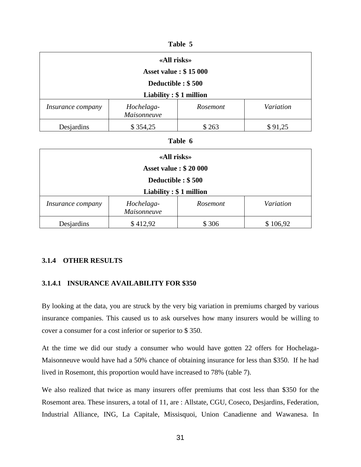| 'able |  |
|-------|--|
|-------|--|

| «All risks»                  |                           |                 |           |
|------------------------------|---------------------------|-----------------|-----------|
| <b>Asset value: \$15 000</b> |                           |                 |           |
| Deductible : \$500           |                           |                 |           |
| Liability: \$1 million       |                           |                 |           |
| <i>Insurance company</i>     | Hochelaga-<br>Maisonneuve | <i>Rosemont</i> | Variation |
| Desjardins                   | \$354,25                  | \$263           | \$91,25   |

### **Table 6**

| «All risks»                  |                           |          |           |
|------------------------------|---------------------------|----------|-----------|
| <b>Asset value: \$20 000</b> |                           |          |           |
| Deductible : \$500           |                           |          |           |
| Liability: $$1$ million      |                           |          |           |
| Insurance company            | Hochelaga-<br>Maisonneuve | Rosemont | Variation |
| Desjardins                   | \$412,92                  | \$306    | \$106,92  |

### **3.1.4 OTHER RESULTS**

### **3.1.4.1 INSURANCE AVAILABILITY FOR \$350**

By looking at the data, you are struck by the very big variation in premiums charged by various insurance companies. This caused us to ask ourselves how many insurers would be willing to cover a consumer for a cost inferior or superior to \$ 350.

At the time we did our study a consumer who would have gotten 22 offers for Hochelaga-Maisonneuve would have had a 50% chance of obtaining insurance for less than \$350. If he had lived in Rosemont, this proportion would have increased to 78% (table 7).

We also realized that twice as many insurers offer premiums that cost less than \$350 for the Rosemont area. These insurers, a total of 11, are : Allstate, CGU, Coseco, Desjardins, Federation, Industrial Alliance, ING, La Capitale, Missisquoi, Union Canadienne and Wawanesa. In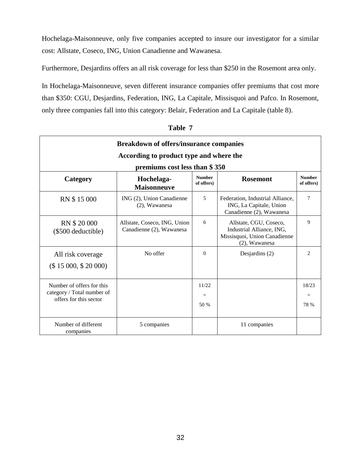Hochelaga-Maisonneuve, only five companies accepted to insure our investigator for a similar cost: Allstate, Coseco, ING, Union Canadienne and Wawanesa.

Furthermore, Desjardins offers an all risk coverage for less than \$250 in the Rosemont area only.

In Hochelaga-Maisonneuve, seven different insurance companies offer premiums that cost more than \$350: CGU, Desjardins, Federation, ING, La Capitale, Missisquoi and Pafco. In Rosemont, only three companies fall into this category: Belair, Federation and La Capitale (table 8).

| <b>Breakdown of offers/insurance companies</b><br>According to product type and where the |                                                          |                             |                                                                                                      |                             |
|-------------------------------------------------------------------------------------------|----------------------------------------------------------|-----------------------------|------------------------------------------------------------------------------------------------------|-----------------------------|
|                                                                                           |                                                          |                             |                                                                                                      |                             |
| Category                                                                                  | Hochelaga-<br><b>Maisonneuve</b>                         | <b>Number</b><br>of offers) | <b>Rosemont</b>                                                                                      | <b>Number</b><br>of offers) |
| RN \$15 000                                                                               | ING (2), Union Canadienne<br>(2), Wawanesa               | 5                           | Federation, Industrial Alliance,<br>ING, La Capitale, Union<br>Canadienne (2), Wawanesa              | 7                           |
| RN \$20 000<br>(\$500 deductible)                                                         | Allstate, Coseco, ING, Union<br>Canadienne (2), Wawanesa | 6                           | Allstate, CGU, Coseco,<br>Industrial Alliance, ING,<br>Missisquoi, Union Canadienne<br>(2), Wawanesa | 9                           |
| All risk coverage<br>(\$ 15000, \$ 20000)                                                 | No offer                                                 | $\Omega$                    | Desjardins $(2)$                                                                                     | $\overline{c}$              |
| Number of offers for this<br>category / Total number of<br>offers for this sector         |                                                          | 11/22<br>$=$<br>50 %        |                                                                                                      | 18/23<br>=<br>78 %          |
| Number of different<br>companies                                                          | 5 companies                                              |                             | 11 companies                                                                                         |                             |

**Table 7**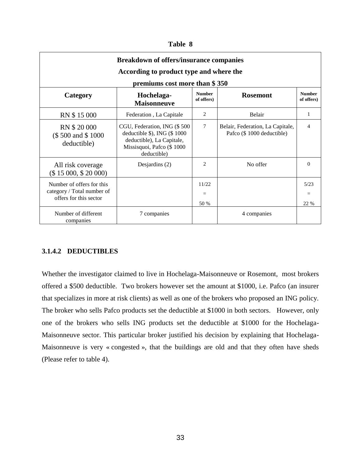#### **Table 8**

| <b>Breakdown of offers/insurance companies</b><br>According to product type and where the<br>premiums cost more than \$350 |                                                                                                                                            |                             |                                                               |                             |
|----------------------------------------------------------------------------------------------------------------------------|--------------------------------------------------------------------------------------------------------------------------------------------|-----------------------------|---------------------------------------------------------------|-----------------------------|
| Category                                                                                                                   | Hochelaga-<br><b>Maisonneuve</b>                                                                                                           | <b>Number</b><br>of offers) | <b>Rosemont</b>                                               | <b>Number</b><br>of offers) |
| RN \$15000                                                                                                                 | Federation, La Capitale                                                                                                                    | 2                           | Belair                                                        | 1                           |
| RN \$20 000<br>(\$500 and \$1000)<br>deductible)                                                                           | CGU, Federation, ING (\$500<br>deductible $\$$ ), ING ( $\$$ 1000<br>deductible), La Capitale,<br>Missisquoi, Pafco (\$1000<br>deductible) | $\overline{7}$              | Belair, Federation, La Capitale,<br>Pafco (\$1000 deductible) | $\overline{4}$              |
| All risk coverage<br>(\$ 15000, \$ 20000)                                                                                  | Desjardins $(2)$                                                                                                                           | $\mathfrak{D}$              | No offer                                                      | $\Omega$                    |
| Number of offers for this<br>category / Total number of<br>offers for this sector                                          |                                                                                                                                            | 11/22<br>50 %               |                                                               | 5/23<br>22 %                |
| Number of different<br>companies                                                                                           | 7 companies                                                                                                                                |                             | 4 companies                                                   |                             |

### **3.1.4.2 DEDUCTIBLES**

Whether the investigator claimed to live in Hochelaga-Maisonneuve or Rosemont, most brokers offered a \$500 deductible. Two brokers however set the amount at \$1000, i.e. Pafco (an insurer that specializes in more at risk clients) as well as one of the brokers who proposed an ING policy. The broker who sells Pafco products set the deductible at \$1000 in both sectors. However, only one of the brokers who sells ING products set the deductible at \$1000 for the Hochelaga-Maisonneuve sector. This particular broker justified his decision by explaining that Hochelaga-Maisonneuve is very « congested », that the buildings are old and that they often have sheds (Please refer to table 4).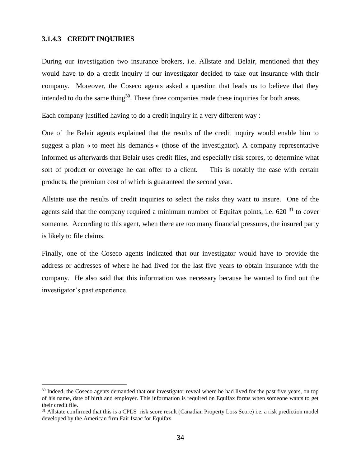### **3.1.4.3 CREDIT INQUIRIES**

<u>.</u>

During our investigation two insurance brokers, i.e. Allstate and Belair, mentioned that they would have to do a credit inquiry if our investigator decided to take out insurance with their company. Moreover, the Coseco agents asked a question that leads us to believe that they intended to do the same thing<sup>30</sup>. These three companies made these inquiries for both areas.

Each company justified having to do a credit inquiry in a very different way :

One of the Belair agents explained that the results of the credit inquiry would enable him to suggest a plan « to meet his demands » (those of the investigator). A company representative informed us afterwards that Belair uses credit files, and especially risk scores, to determine what sort of product or coverage he can offer to a client. This is notably the case with certain products, the premium cost of which is guaranteed the second year.

Allstate use the results of credit inquiries to select the risks they want to insure. One of the agents said that the company required a minimum number of Equifax points, i.e.  $620<sup>31</sup>$  to cover someone. According to this agent, when there are too many financial pressures, the insured party is likely to file claims.

Finally, one of the Coseco agents indicated that our investigator would have to provide the address or addresses of where he had lived for the last five years to obtain insurance with the company. He also said that this information was necessary because he wanted to find out the investigator's past experience.

<sup>&</sup>lt;sup>30</sup> Indeed, the Coseco agents demanded that our investigator reveal where he had lived for the past five years, on top of his name, date of birth and employer. This information is required on Equifax forms when someone wants to get their credit file.

<sup>&</sup>lt;sup>31</sup> Allstate confirmed that this is a CPLS risk score result (Canadian Property Loss Score) i.e. a risk prediction model developed by the American firm Fair Isaac for Equifax.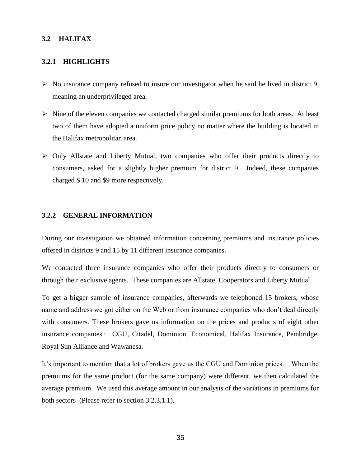### **3.2 HALIFAX**

#### **3.2.1 HIGHLIGHTS**

- $\triangleright$  No insurance company refused to insure our investigator when he said he lived in district 9, meaning an underprivileged area.
- $\triangleright$  Nine of the eleven companies we contacted charged similar premiums for both areas. At least two of them have adopted a uniform price policy no matter where the building is located in the Halifax metropolitan area.
- $\triangleright$  Only Allstate and Liberty Mutual, two companies who offer their products directly to consumers, asked for a slightly higher premium for district 9. Indeed, these companies charged \$ 10 and \$9 more respectively.

#### **3.2.2 GENERAL INFORMATION**

During our investigation we obtained information concerning premiums and insurance policies offered in districts 9 and 15 by 11 different insurance companies.

We contacted three insurance companies who offer their products directly to consumers or through their exclusive agents. These companies are Allstate, Cooperators and Liberty Mutual.

To get a bigger sample of insurance companies, afterwards we telephoned 15 brokers, whose name and address we got either on the Web or from insurance companies who don't deal directly with consumers. These brokers gave us information on the prices and products of eight other insurance companies : CGU, Citadel, Dominion, Economical, Halifax Insurance, Pembridge, Royal Sun Alliance and Wawanesa.

It's important to mention that a lot of brokers gave us the CGU and Dominion prices. When the premiums for the same product (for the same company) were different, we then calculated the average premium. We used this average amount in our analysis of the variations in premiums for both sectors (Please refer to section 3.2.3.1.1).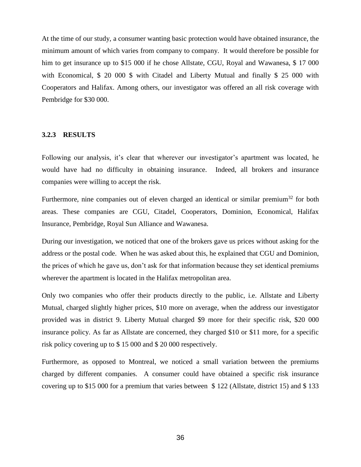At the time of our study, a consumer wanting basic protection would have obtained insurance, the minimum amount of which varies from company to company. It would therefore be possible for him to get insurance up to \$15 000 if he chose Allstate, CGU, Royal and Wawanesa, \$17 000 with Economical, \$ 20 000 \$ with Citadel and Liberty Mutual and finally \$ 25 000 with Cooperators and Halifax. Among others, our investigator was offered an all risk coverage with Pembridge for \$30 000.

#### **3.2.3 RESULTS**

Following our analysis, it's clear that wherever our investigator's apartment was located, he would have had no difficulty in obtaining insurance. Indeed, all brokers and insurance companies were willing to accept the risk.

Furthermore, nine companies out of eleven charged an identical or similar premium<sup>32</sup> for both areas. These companies are CGU, Citadel, Cooperators, Dominion, Economical, Halifax Insurance, Pembridge, Royal Sun Alliance and Wawanesa.

During our investigation, we noticed that one of the brokers gave us prices without asking for the address or the postal code. When he was asked about this, he explained that CGU and Dominion, the prices of which he gave us, don't ask for that information because they set identical premiums wherever the apartment is located in the Halifax metropolitan area.

Only two companies who offer their products directly to the public, i.e. Allstate and Liberty Mutual, charged slightly higher prices, \$10 more on average, when the address our investigator provided was in district 9. Liberty Mutual charged \$9 more for their specific risk, \$20 000 insurance policy. As far as Allstate are concerned, they charged \$10 or \$11 more, for a specific risk policy covering up to \$ 15 000 and \$ 20 000 respectively.

Furthermore, as opposed to Montreal, we noticed a small variation between the premiums charged by different companies. A consumer could have obtained a specific risk insurance covering up to \$15 000 for a premium that varies between \$ 122 (Allstate, district 15) and \$ 133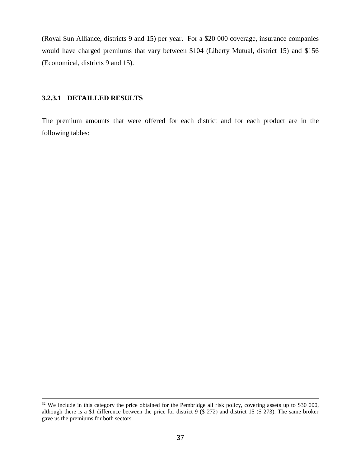(Royal Sun Alliance, districts 9 and 15) per year. For a \$20 000 coverage, insurance companies would have charged premiums that vary between \$104 (Liberty Mutual, district 15) and \$156 (Economical, districts 9 and 15).

# **3.2.3.1 DETAILLED RESULTS**

1

The premium amounts that were offered for each district and for each product are in the following tables:

<sup>&</sup>lt;sup>32</sup> We include in this category the price obtained for the Pembridge all risk policy, covering assets up to \$30 000, although there is a \$1 difference between the price for district 9 (\$ 272) and district 15 (\$ 273). The same broker gave us the premiums for both sectors.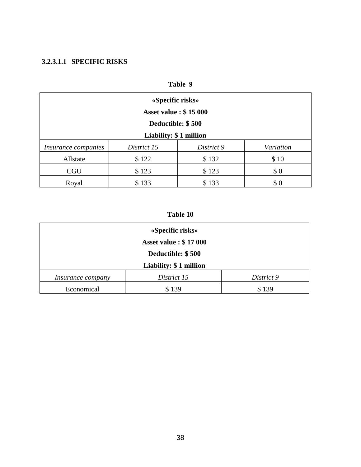# **3.2.3.1.1 SPECIFIC RISKS**

| Table 9                      |             |            |           |
|------------------------------|-------------|------------|-----------|
| «Specific risks»             |             |            |           |
| <b>Asset value: \$15 000</b> |             |            |           |
| Deductible: \$500            |             |            |           |
| Liability: \$1 million       |             |            |           |
| Insurance companies          | District 15 | District 9 | Variation |
| Allstate                     | \$122       | \$132      | \$10      |
| <b>CGU</b>                   | \$123       | \$123      | \$0       |
| Royal                        | \$133       | \$133      | \$0       |

# **Table 10**

| «Specific risks»<br><b>Asset value: \$17 000</b><br>Deductible: \$500<br>Liability: \$1 million |       |       |  |
|-------------------------------------------------------------------------------------------------|-------|-------|--|
| District 15<br>District 9<br><i>Insurance company</i>                                           |       |       |  |
| Economical                                                                                      | \$139 | \$139 |  |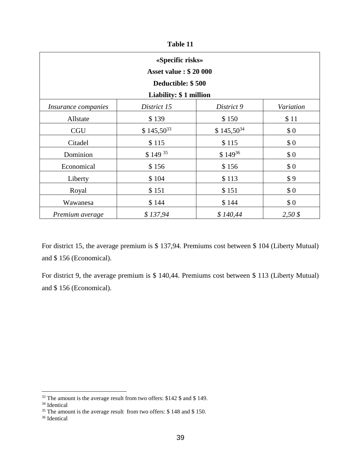| l'able |  |
|--------|--|
|        |  |

| «Specific risks»<br><b>Asset value: \$20 000</b> |                        |                |                    |  |  |
|--------------------------------------------------|------------------------|----------------|--------------------|--|--|
|                                                  | Deductible: \$500      |                |                    |  |  |
|                                                  | Liability: \$1 million |                |                    |  |  |
| <i>Insurance companies</i>                       | District 15            | District 9     | Variation          |  |  |
| Allstate                                         | \$139                  | \$150          | \$11               |  |  |
| <b>CGU</b>                                       | $$145,50^{33}$         | $$145,50^{34}$ | \$0                |  |  |
| Citadel                                          | \$115                  | \$115          | \$0                |  |  |
| Dominion                                         | \$149 35               | $$149^{36}$    | \$0                |  |  |
| Economical                                       | \$156                  | \$156          | \$0                |  |  |
| Liberty                                          | \$104                  | \$113          | \$9                |  |  |
| Royal                                            | \$151                  | \$151          | \$0                |  |  |
| Wawanesa                                         | \$144                  | \$144          | \$0                |  |  |
| Premium average                                  | \$137,94               | \$140,44       | $2,50 \text{ }$ \$ |  |  |

For district 15, the average premium is \$ 137,94. Premiums cost between \$ 104 (Liberty Mutual) and \$ 156 (Economical).

For district 9, the average premium is \$ 140,44. Premiums cost between \$ 113 (Liberty Mutual) and \$ 156 (Economical).

<u>.</u>

<sup>&</sup>lt;sup>33</sup> The amount is the average result from two offers: \$142 \$ and \$ 149.

<sup>34</sup> Identical

 $35$  The amount is the average result from two offers: \$148 and \$150.

<sup>36</sup> Identical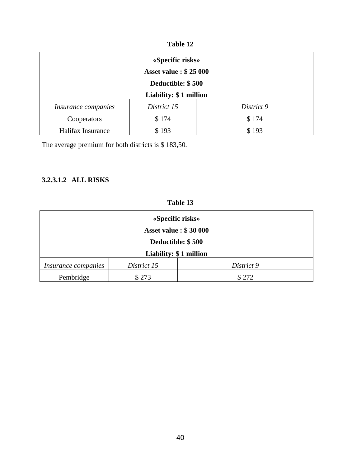| 'able |  |
|-------|--|
|-------|--|

| «Specific risks»<br><b>Asset value: \$25 000</b> |             |            |  |
|--------------------------------------------------|-------------|------------|--|
| Deductible: \$500<br>Liability: \$1 million      |             |            |  |
| Insurance companies                              | District 15 | District 9 |  |
| Cooperators                                      | \$174       | \$174      |  |
| Halifax Insurance                                | \$193       | \$193      |  |

The average premium for both districts is \$ 183,50.

# **3.2.3.1.2 ALL RISKS**

| Table 1 |  |
|---------|--|
|---------|--|

| «Specific risks»             |             |            |  |
|------------------------------|-------------|------------|--|
| <b>Asset value: \$30 000</b> |             |            |  |
| Deductible: \$500            |             |            |  |
| Liability: \$1 million       |             |            |  |
| Insurance companies          | District 15 | District 9 |  |
| Pembridge                    | \$273       | \$272      |  |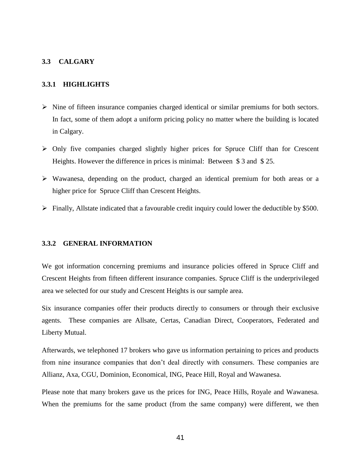### **3.3 CALGARY**

### **3.3.1 HIGHLIGHTS**

- $\triangleright$  Nine of fifteen insurance companies charged identical or similar premiums for both sectors. In fact, some of them adopt a uniform pricing policy no matter where the building is located in Calgary.
- $\triangleright$  Only five companies charged slightly higher prices for Spruce Cliff than for Crescent Heights. However the difference in prices is minimal: Between \$3 and \$25.
- Wawanesa, depending on the product, charged an identical premium for both areas or a higher price for Spruce Cliff than Crescent Heights.
- $\triangleright$  Finally, Allstate indicated that a favourable credit inquiry could lower the deductible by \$500.

### **3.3.2 GENERAL INFORMATION**

We got information concerning premiums and insurance policies offered in Spruce Cliff and Crescent Heights from fifteen different insurance companies. Spruce Cliff is the underprivileged area we selected for our study and Crescent Heights is our sample area.

Six insurance companies offer their products directly to consumers or through their exclusive agents. These companies are Allsate, Certas, Canadian Direct, Cooperators, Federated and Liberty Mutual.

Afterwards, we telephoned 17 brokers who gave us information pertaining to prices and products from nine insurance companies that don't deal directly with consumers. These companies are Allianz, Axa, CGU, Dominion, Economical, ING, Peace Hill, Royal and Wawanesa.

Please note that many brokers gave us the prices for ING, Peace Hills, Royale and Wawanesa. When the premiums for the same product (from the same company) were different, we then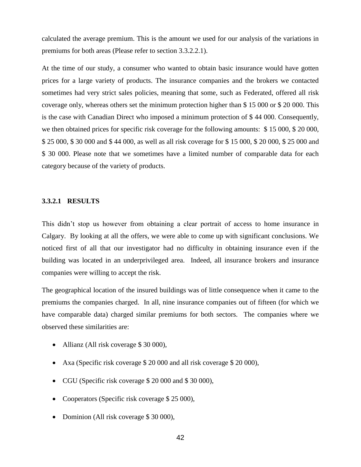calculated the average premium. This is the amount we used for our analysis of the variations in premiums for both areas (Please refer to section 3.3.2.2.1).

At the time of our study, a consumer who wanted to obtain basic insurance would have gotten prices for a large variety of products. The insurance companies and the brokers we contacted sometimes had very strict sales policies, meaning that some, such as Federated, offered all risk coverage only, whereas others set the minimum protection higher than \$ 15 000 or \$ 20 000. This is the case with Canadian Direct who imposed a minimum protection of \$ 44 000. Consequently, we then obtained prices for specific risk coverage for the following amounts: \$ 15 000, \$ 20 000, \$ 25 000, \$ 30 000 and \$ 44 000, as well as all risk coverage for \$ 15 000, \$ 20 000, \$ 25 000 and \$ 30 000. Please note that we sometimes have a limited number of comparable data for each category because of the variety of products.

#### **3.3.2.1 RESULTS**

This didn't stop us however from obtaining a clear portrait of access to home insurance in Calgary. By looking at all the offers, we were able to come up with significant conclusions. We noticed first of all that our investigator had no difficulty in obtaining insurance even if the building was located in an underprivileged area. Indeed, all insurance brokers and insurance companies were willing to accept the risk.

The geographical location of the insured buildings was of little consequence when it came to the premiums the companies charged. In all, nine insurance companies out of fifteen (for which we have comparable data) charged similar premiums for both sectors. The companies where we observed these similarities are:

- Allianz (All risk coverage \$30 000),
- Axa (Specific risk coverage \$ 20 000 and all risk coverage \$ 20 000),
- CGU (Specific risk coverage \$ 20 000 and \$ 30 000),
- Cooperators (Specific risk coverage \$ 25 000),
- Dominion (All risk coverage \$ 30 000),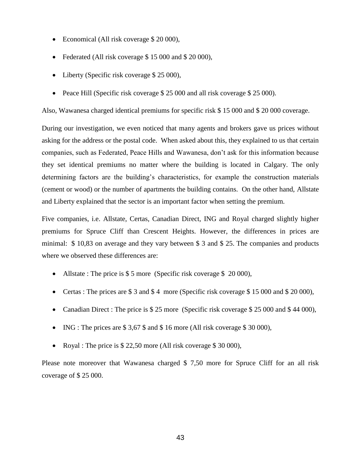- Economical (All risk coverage \$ 20 000),
- Federated (All risk coverage \$15 000 and \$20 000),
- Liberty (Specific risk coverage \$ 25 000),
- Peace Hill (Specific risk coverage \$ 25 000 and all risk coverage \$ 25 000).

Also, Wawanesa charged identical premiums for specific risk \$ 15 000 and \$ 20 000 coverage.

During our investigation, we even noticed that many agents and brokers gave us prices without asking for the address or the postal code. When asked about this, they explained to us that certain companies, such as Federated, Peace Hills and Wawanesa, don't ask for this information because they set identical premiums no matter where the building is located in Calgary. The only determining factors are the building's characteristics, for example the construction materials (cement or wood) or the number of apartments the building contains. On the other hand, Allstate and Liberty explained that the sector is an important factor when setting the premium.

Five companies, i.e. Allstate, Certas, Canadian Direct, ING and Royal charged slightly higher premiums for Spruce Cliff than Crescent Heights. However, the differences in prices are minimal: \$ 10,83 on average and they vary between \$ 3 and \$ 25. The companies and products where we observed these differences are:

- Allstate : The price is  $$5$  more (Specific risk coverage  $$20,000$ ),
- Certas : The prices are \$ 3 and \$ 4 more (Specific risk coverage \$ 15 000 and \$ 20 000),
- Canadian Direct : The price is \$ 25 more (Specific risk coverage \$ 25 000 and \$ 44 000),
- $\bullet$  ING : The prices are \$3,67 \$ and \$16 more (All risk coverage \$30 000),
- Royal : The price is \$ 22,50 more (All risk coverage \$ 30 000),

Please note moreover that Wawanesa charged \$7,50 more for Spruce Cliff for an all risk coverage of \$ 25 000.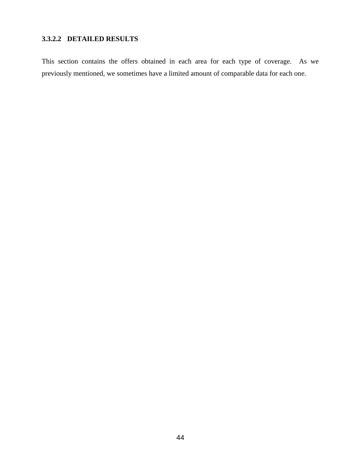# **3.3.2.2 DETAILED RESULTS**

This section contains the offers obtained in each area for each type of coverage. As we previously mentioned, we sometimes have a limited amount of comparable data for each one.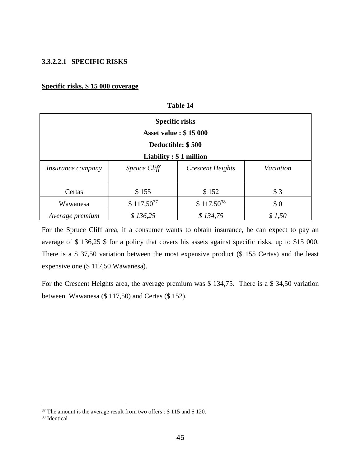### **3.3.2.2.1 SPECIFIC RISKS**

### **Specific risks, \$ 15 000 coverage**

| 10VIV 17                                              |                |                         |           |  |  |
|-------------------------------------------------------|----------------|-------------------------|-----------|--|--|
| <b>Specific risks</b><br><b>Asset value: \$15 000</b> |                |                         |           |  |  |
|                                                       |                |                         |           |  |  |
| Liability $: $1$ million                              |                |                         |           |  |  |
| <i>Insurance company</i>                              | Spruce Cliff   | <b>Crescent Heights</b> | Variation |  |  |
|                                                       |                |                         |           |  |  |
| Certas                                                | \$155          | \$152                   | \$3       |  |  |
| Wawanesa                                              | $$117,50^{37}$ | $$117,50^{38}$          | \$0       |  |  |
| Average premium                                       | \$136,25       | \$134,75                | \$1,50    |  |  |

**Table 14**

For the Spruce Cliff area, if a consumer wants to obtain insurance, he can expect to pay an average of \$ 136,25 \$ for a policy that covers his assets against specific risks, up to \$15 000. There is a \$ 37,50 variation between the most expensive product (\$ 155 Certas) and the least expensive one (\$ 117,50 Wawanesa).

For the Crescent Heights area, the average premium was \$ 134,75. There is a \$ 34,50 variation between Wawanesa (\$ 117,50) and Certas (\$ 152).

<u>.</u>

 $37$  The amount is the average result from two offers : \$115 and \$120.

<sup>38</sup> Identical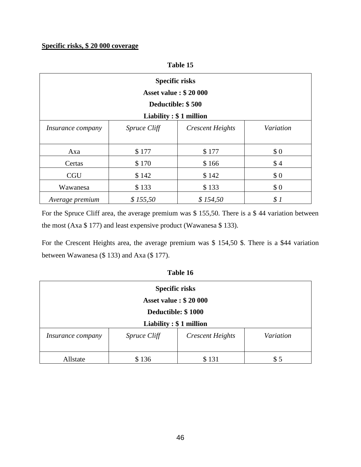### **Specific risks, \$ 20 000 coverage**

### **Table 15**

| <b>Specific risks</b><br><b>Asset value: \$20 000</b> |                        |                         |           |
|-------------------------------------------------------|------------------------|-------------------------|-----------|
|                                                       | Deductible: \$500      |                         |           |
|                                                       | Liability: \$1 million |                         |           |
| <i>Insurance company</i>                              | <i>Spruce Cliff</i>    | <b>Crescent Heights</b> | Variation |
|                                                       |                        |                         |           |
| Axa                                                   | \$177                  | \$177                   | \$0       |
| Certas                                                | \$170                  | \$166                   | \$4       |
| <b>CGU</b>                                            | \$142                  | \$142                   | \$0       |
| Wawanesa                                              | \$133                  | \$133                   | \$0       |
| Average premium                                       | \$155,50               | \$154,50                | \$1       |

For the Spruce Cliff area, the average premium was \$ 155,50. There is a \$ 44 variation between the most (Axa \$ 177) and least expensive product (Wawanesa \$ 133).

For the Crescent Heights area, the average premium was \$ 154,50 \$. There is a \$44 variation between Wawanesa (\$ 133) and Axa (\$ 177).

| <b>Specific risks</b>                                                            |       |       |     |  |
|----------------------------------------------------------------------------------|-------|-------|-----|--|
| <b>Asset value: \$20 000</b>                                                     |       |       |     |  |
| Deductible: \$1000                                                               |       |       |     |  |
| Liability $: $1$ million                                                         |       |       |     |  |
| Variation<br><b>Crescent Heights</b><br><i>Spruce Cliff</i><br>Insurance company |       |       |     |  |
|                                                                                  |       |       |     |  |
| Allstate                                                                         | \$136 | \$131 | \$5 |  |

| Table 16 |  |
|----------|--|
|          |  |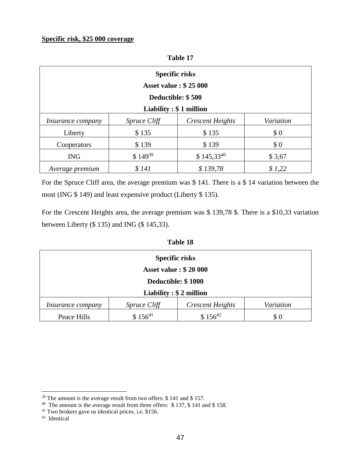| <b>Specific risks</b><br><b>Asset value: \$25 000</b> |                     |                         |           |  |
|-------------------------------------------------------|---------------------|-------------------------|-----------|--|
| Deductible: \$500                                     |                     |                         |           |  |
| Liability $: $1$ million                              |                     |                         |           |  |
| <i>Insurance company</i>                              | <i>Spruce Cliff</i> | <b>Crescent Heights</b> | Variation |  |
| Liberty                                               | \$135               | \$135                   | \$0       |  |
| Cooperators                                           | \$139               | \$139                   | \$0       |  |
| <b>ING</b>                                            | $$149^{39}$         | $$145,33^{40}$          | \$3,67    |  |
| Average premium                                       | \$141               | \$139,78                | \$1,22    |  |

**Table 17**

For the Spruce Cliff area, the average premium was \$ 141. There is a \$ 14 variation between the most (ING \$ 149) and least expensive product (Liberty \$ 135).

For the Crescent Heights area, the average premium was \$ 139,78 \$. There is a \$10,33 variation between Liberty (\$ 135) and ING (\$ 145,33).

| Table 18 |
|----------|
|----------|

| <b>Specific risks</b>                                                     |                     |                         |           |  |
|---------------------------------------------------------------------------|---------------------|-------------------------|-----------|--|
| <b>Asset value: \$20 000</b>                                              |                     |                         |           |  |
| Deductible: \$1000                                                        |                     |                         |           |  |
| Liability : $$2$ million                                                  |                     |                         |           |  |
| <i>Insurance company</i>                                                  | <i>Spruce Cliff</i> | <b>Crescent Heights</b> | Variation |  |
| $$156^{41}$<br>$$156^{42}$<br>Peace Hills<br>$\boldsymbol{\mathcal{S}}$ 0 |                     |                         |           |  |

<u>.</u>

<sup>&</sup>lt;sup>39</sup> The amount is the average result from two offers: \$ 141 and \$ 157.<br><sup>40</sup> The amount is the average result from three offers: \$ 137, \$ 141 and \$ 158.

<sup>41</sup> Two brokers gave us identical prices, i.e. \$156.

<sup>42</sup> Identical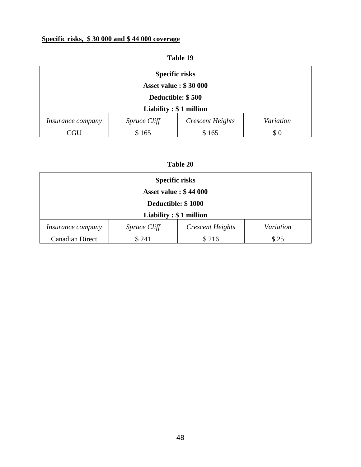# **Specific risks, \$ 30 000 and \$ 44 000 coverage**

# **Table 19 Specific risks Asset value : \$ 30 000 Deductible: \$ 500 Liability : \$ 1 million**  *Insurance company Spruce Cliff Crescent Heights Variation* CGU \$ 165 \$ 165 \$ 0

### **Table 20**

| <b>Specific risks</b>                            |                     |                         |           |  |  |
|--------------------------------------------------|---------------------|-------------------------|-----------|--|--|
| <b>Asset value: \$44 000</b>                     |                     |                         |           |  |  |
| Deductible: \$1000                               |                     |                         |           |  |  |
| Liability: $$1$ million                          |                     |                         |           |  |  |
| <i>Insurance company</i>                         | <i>Spruce Cliff</i> | <b>Crescent Heights</b> | Variation |  |  |
| \$241<br>\$216<br><b>Canadian Direct</b><br>\$25 |                     |                         |           |  |  |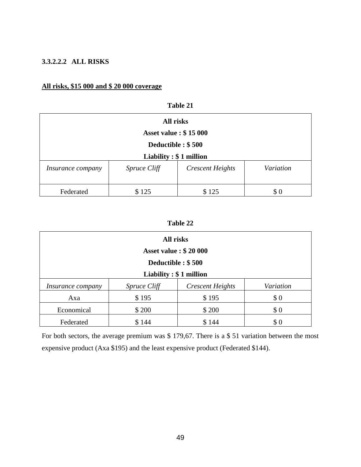### **3.3.2.2.2 ALL RISKS**

# **All risks, \$15 000 and \$ 20 000 coverage**

|                          | All risks                    |                         |           |  |
|--------------------------|------------------------------|-------------------------|-----------|--|
|                          | <b>Asset value: \$15 000</b> |                         |           |  |
|                          | Deductible : \$500           |                         |           |  |
| Liability $: $1$ million |                              |                         |           |  |
| Insurance company        | <i>Spruce Cliff</i>          | <b>Crescent Heights</b> | Variation |  |
| Federated                | \$125                        | \$125                   | \$0       |  |

**Table 21**

# **Table 22**

| All risks                    |                     |                         |           |  |
|------------------------------|---------------------|-------------------------|-----------|--|
| <b>Asset value: \$20 000</b> |                     |                         |           |  |
| Deductible : \$500           |                     |                         |           |  |
| Liability: \$1 million       |                     |                         |           |  |
| <i>Insurance company</i>     | <i>Spruce Cliff</i> | <b>Crescent Heights</b> | Variation |  |
| Axa                          | \$195               | \$195                   | \$0       |  |
| Economical                   | \$200               | \$200                   | \$0       |  |
| Federated                    | \$144               | \$144                   | \$0       |  |

For both sectors, the average premium was \$ 179,67. There is a \$ 51 variation between the most expensive product (Axa \$195) and the least expensive product (Federated \$144).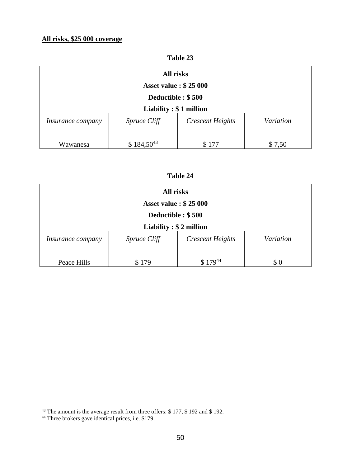# **All risks, \$25 000 coverage**

| <b>l'able 23</b> |
|------------------|
|------------------|

| All risks                    |                     |                         |           |  |
|------------------------------|---------------------|-------------------------|-----------|--|
| <b>Asset value: \$25 000</b> |                     |                         |           |  |
| Deductible : \$500           |                     |                         |           |  |
| Liability: $$1$ million      |                     |                         |           |  |
| <i>Insurance company</i>     | <i>Spruce Cliff</i> | <b>Crescent Heights</b> | Variation |  |
|                              |                     |                         |           |  |
| Wawanesa                     | $$184,50^{43}$      | \$177                   | \$7,50    |  |

| l'able : |  |
|----------|--|
|----------|--|

| All risks<br><b>Asset value: \$25 000</b><br>Deductible : \$500 |     |       |     |  |                                   |                     |                         |           |
|-----------------------------------------------------------------|-----|-------|-----|--|-----------------------------------|---------------------|-------------------------|-----------|
|                                                                 |     |       |     |  | Liability $: $ 2 \text{ million}$ |                     |                         |           |
|                                                                 |     |       |     |  | Insurance company                 | <i>Spruce Cliff</i> | <b>Crescent Heights</b> | Variation |
| Peace Hills                                                     | 179 | 17944 | \$0 |  |                                   |                     |                         |           |

<u>.</u>

<sup>&</sup>lt;sup>43</sup> The amount is the average result from three offers: \$177, \$192 and \$192.

<sup>&</sup>lt;sup>44</sup> Three brokers gave identical prices, i.e. \$179.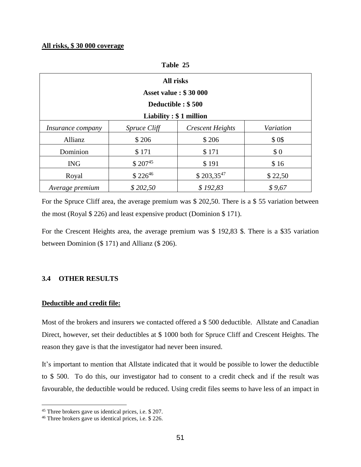### **All risks, \$ 30 000 coverage**

|                          |              | <b>All risks</b>             |           |
|--------------------------|--------------|------------------------------|-----------|
|                          |              | <b>Asset value: \$30 000</b> |           |
|                          |              | Deductible: \$500            |           |
|                          |              | Liability $: $1$ million     |           |
| <i>Insurance company</i> | Spruce Cliff | <b>Crescent Heights</b>      | Variation |
| Allianz                  | \$206        | \$206                        | \$0\$     |
| Dominion                 | \$171        | \$171                        | \$0       |
| <b>ING</b>               | $$207^{45}$  | \$191                        | \$16      |
| Royal                    | $$226^{46}$  | $$203,35^{47}$               | \$22,50   |
| Average premium          | \$202,50     | \$192,83                     | \$9,67    |

**Table 25**

For the Spruce Cliff area, the average premium was \$ 202,50. There is a \$ 55 variation between the most (Royal \$ 226) and least expensive product (Dominion \$ 171).

For the Crescent Heights area, the average premium was \$ 192,83 \$. There is a \$35 variation between Dominion (\$ 171) and Allianz (\$ 206).

### **3.4 OTHER RESULTS**

### **Deductible and credit file:**

<u>.</u>

Most of the brokers and insurers we contacted offered a \$ 500 deductible. Allstate and Canadian Direct, however, set their deductibles at \$ 1000 both for Spruce Cliff and Crescent Heights. The reason they gave is that the investigator had never been insured.

It's important to mention that Allstate indicated that it would be possible to lower the deductible to \$ 500. To do this, our investigator had to consent to a credit check and if the result was favourable, the deductible would be reduced. Using credit files seems to have less of an impact in

<sup>45</sup> Three brokers gave us identical prices, i.e. \$ 207.

<sup>46</sup> Three brokers gave us identical prices, i.e. \$ 226.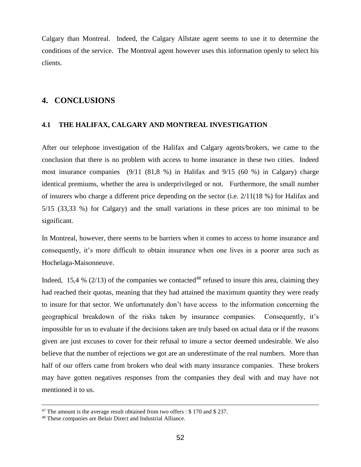Calgary than Montreal. Indeed, the Calgary Allstate agent seems to use it to determine the conditions of the service. The Montreal agent however uses this information openly to select his clients.

# **4. CONCLUSIONS**

### **4.1 THE HALIFAX, CALGARY AND MONTREAL INVESTIGATION**

After our telephone investigation of the Halifax and Calgary agents/brokers, we came to the conclusion that there is no problem with access to home insurance in these two cities. Indeed most insurance companies (9/11 (81,8 %) in Halifax and 9/15 (60 %) in Calgary) charge identical premiums, whether the area is underprivileged or not. Furthermore, the small number of insurers who charge a different price depending on the sector (i.e. 2/11(18 %) for Halifax and 5/15 (33,33 %) for Calgary) and the small variations in these prices are too minimal to be significant.

In Montreal, however, there seems to be barriers when it comes to access to home insurance and consequently, it's more difficult to obtain insurance when one lives in a poorer area such as Hochelaga-Maisonneuve.

Indeed, 15,4 % (2/13) of the companies we contacted<sup>48</sup> refused to insure this area, claiming they had reached their quotas, meaning that they had attained the maximum quantity they were ready to insure for that sector. We unfortunately don't have access to the information concerning the geographical breakdown of the risks taken by insurance companies. Consequently, it's impossible for us to evaluate if the decisions taken are truly based on actual data or if the reasons given are just excuses to cover for their refusal to insure a sector deemed undesirable. We also believe that the number of rejections we got are an underestimate of the real numbers. More than half of our offers came from brokers who deal with many insurance companies. These brokers may have gotten negatives responses from the companies they deal with and may have not mentioned it to us.

<u>.</u>

<sup>&</sup>lt;sup>47</sup> The amount is the average result obtained from two offers : \$170 and \$237.

<sup>48</sup> These companies are Belair Direct and Industrial Alliance.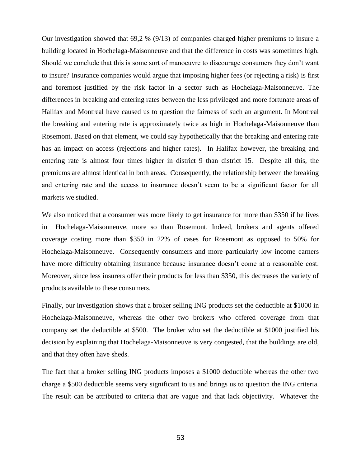Our investigation showed that 69,2 % (9/13) of companies charged higher premiums to insure a building located in Hochelaga-Maisonneuve and that the difference in costs was sometimes high. Should we conclude that this is some sort of manoeuvre to discourage consumers they don't want to insure? Insurance companies would argue that imposing higher fees (or rejecting a risk) is first and foremost justified by the risk factor in a sector such as Hochelaga-Maisonneuve. The differences in breaking and entering rates between the less privileged and more fortunate areas of Halifax and Montreal have caused us to question the fairness of such an argument. In Montreal the breaking and entering rate is approximately twice as high in Hochelaga-Maisonneuve than Rosemont. Based on that element, we could say hypothetically that the breaking and entering rate has an impact on access (rejections and higher rates). In Halifax however, the breaking and entering rate is almost four times higher in district 9 than district 15. Despite all this, the premiums are almost identical in both areas. Consequently, the relationship between the breaking and entering rate and the access to insurance doesn't seem to be a significant factor for all markets we studied.

We also noticed that a consumer was more likely to get insurance for more than \$350 if he lives in Hochelaga-Maisonneuve, more so than Rosemont. Indeed, brokers and agents offered coverage costing more than \$350 in 22% of cases for Rosemont as opposed to 50% for Hochelaga-Maisonneuve. Consequently consumers and more particularly low income earners have more difficulty obtaining insurance because insurance doesn't come at a reasonable cost. Moreover, since less insurers offer their products for less than \$350, this decreases the variety of products available to these consumers.

Finally, our investigation shows that a broker selling ING products set the deductible at \$1000 in Hochelaga-Maisonneuve, whereas the other two brokers who offered coverage from that company set the deductible at \$500. The broker who set the deductible at \$1000 justified his decision by explaining that Hochelaga-Maisonneuve is very congested, that the buildings are old, and that they often have sheds.

The fact that a broker selling ING products imposes a \$1000 deductible whereas the other two charge a \$500 deductible seems very significant to us and brings us to question the ING criteria. The result can be attributed to criteria that are vague and that lack objectivity. Whatever the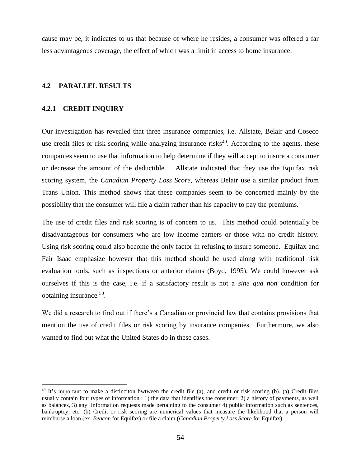cause may be, it indicates to us that because of where he resides, a consumer was offered a far less advantageous coverage, the effect of which was a limit in access to home insurance.

### **4.2 PARALLEL RESULTS**

### **4.2.1 CREDIT INQUIRY**

<u>.</u>

Our investigation has revealed that three insurance companies, i.e. Allstate, Belair and Coseco use credit files or risk scoring while analyzing insurance risks<sup>49</sup>. According to the agents, these companies seem to use that information to help determine if they will accept to insure a consumer or decrease the amount of the deductible. Allstate indicated that they use the Equifax risk scoring system, the *Canadian Property Loss Score,* whereas Belair use a similar product from Trans Union. This method shows that these companies seem to be concerned mainly by the possibility that the consumer will file a claim rather than his capacity to pay the premiums.

The use of credit files and risk scoring is of concern to us. This method could potentially be disadvantageous for consumers who are low income earners or those with no credit history. Using risk scoring could also become the only factor in refusing to insure someone. Equifax and Fair Isaac emphasize however that this method should be used along with traditional risk evaluation tools, such as inspections or anterior claims (Boyd, 1995). We could however ask ourselves if this is the case, i.e. if a satisfactory result is not a *sine qua non* condition for obtaining insurance <sup>50</sup>.

We did a research to find out if there's a Canadian or provincial law that contains provisions that mention the use of credit files or risk scoring by insurance companies. Furthermore, we also wanted to find out what the United States do in these cases.

 $49$  It's important to make a distinciton bwtween the credit file (a), and credit or risk scoring (b). (a) Credit files usually contain four types of information : 1) the data that identifies the consumer, 2) a history of payments, as well as balances, 3) any information requests made pertaining to the consumer 4) public information such as sentences, bankruptcy, etc. (b) Credit or risk scoring are numerical values that measure the likelihood that a person will reimburse a loan (ex. *Beacon* for Equifax) or file a claim (*Canadian Property Loss Score* for Equifax).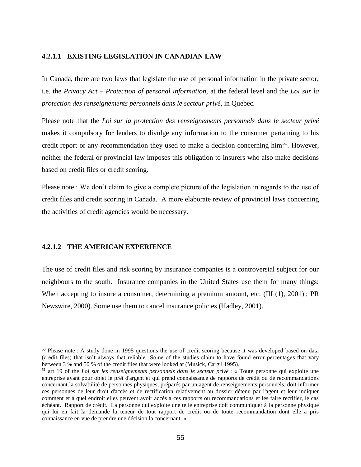### **4.2.1.1 EXISTING LEGISLATION IN CANADIAN LAW**

In Canada, there are two laws that legislate the use of personal information in the private sector, i.e. the *Privacy Act – Protection of personal information,* at the federal level and the *Loi sur la protection des renseignements personnels dans le secteur privé,* in Quebec*.*

Please note that the *Loi sur la protection des renseignements personnels dans le secteur privé* makes it compulsory for lenders to divulge any information to the consumer pertaining to his credit report or any recommendation they used to make a decision concerning him<sup>51</sup>. However, neither the federal or provincial law imposes this obligation to insurers who also make decisions based on credit files or credit scoring.

Please note : We don't claim to give a complete picture of the legislation in regards to the use of credit files and credit scoring in Canada. A more elaborate review of provincial laws concerning the activities of credit agencies would be necessary.

### **4.2.1.2 THE AMERICAN EXPERIENCE**

<u>.</u>

The use of credit files and risk scoring by insurance companies is a controversial subject for our neighbours to the south. Insurance companies in the United States use them for many things: When accepting to insure a consumer, determining a premium amount, etc. (III (1), 2001); PR Newswire, 2000). Some use them to cancel insurance policies (Hadley, 2001).

<sup>&</sup>lt;sup>50</sup> Please note : A study done in 1995 questions the use of credit scoring because it was developed based on data (credit files) that isn't always that reliable Some of the studies claim to have found error percentages that vary between 3 % and 50 % of the credit files that were looked at (Musick, Cargil 1995).

<sup>51</sup> art 19 of the *Loi sur les renseignements personnels dans le secteur privé* : « Toute personne qui exploite une entreprise ayant pour objet le prêt d'argent et qui prend connaissance de rapports de crédit ou de recommandations concernant la solvabilité de personnes physiques, préparés par un agent de renseignements personnels, doit informer ces personnes de leur droit d'accès et de rectification relativement au dossier détenu par l'agent et leur indiquer comment et à quel endroit elles peuvent avoir accès à ces rapports ou recommandations et les faire rectifier, le cas échéant. Rapport de crédit. La personne qui exploite une telle entreprise doit communiquer à la personne physique qui lui en fait la demande la teneur de tout rapport de crédit ou de toute recommandation dont elle a pris connaissance en vue de prendre une décision la concernant. »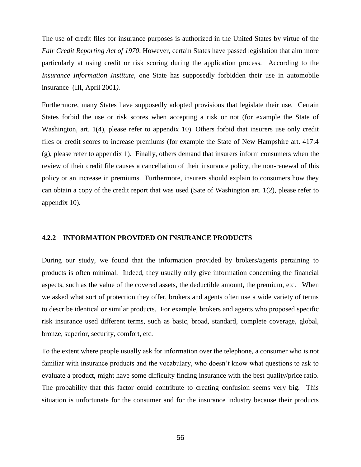The use of credit files for insurance purposes is authorized in the United States by virtue of the *Fair Credit Reporting Act of 1970*. However, certain States have passed legislation that aim more particularly at using credit or risk scoring during the application process. According to the *Insurance Information Institute,* one State has supposedly forbidden their use in automobile insurance (III, April 2001*).* 

Furthermore, many States have supposedly adopted provisions that legislate their use. Certain States forbid the use or risk scores when accepting a risk or not (for example the State of Washington, art. 1(4), please refer to appendix 10). Others forbid that insurers use only credit files or credit scores to increase premiums (for example the State of New Hampshire art. 417:4  $(g)$ , please refer to appendix 1). Finally, others demand that insurers inform consumers when the review of their credit file causes a cancellation of their insurance policy, the non-renewal of this policy or an increase in premiums. Furthermore, insurers should explain to consumers how they can obtain a copy of the credit report that was used (Sate of Washington art. 1(2), please refer to appendix 10).

### **4.2.2 INFORMATION PROVIDED ON INSURANCE PRODUCTS**

During our study, we found that the information provided by brokers/agents pertaining to products is often minimal. Indeed, they usually only give information concerning the financial aspects, such as the value of the covered assets, the deductible amount, the premium, etc. When we asked what sort of protection they offer, brokers and agents often use a wide variety of terms to describe identical or similar products. For example, brokers and agents who proposed specific risk insurance used different terms, such as basic, broad, standard, complete coverage, global, bronze, superior, security, comfort, etc.

To the extent where people usually ask for information over the telephone, a consumer who is not familiar with insurance products and the vocabulary, who doesn't know what questions to ask to evaluate a product, might have some difficulty finding insurance with the best quality/price ratio. The probability that this factor could contribute to creating confusion seems very big. This situation is unfortunate for the consumer and for the insurance industry because their products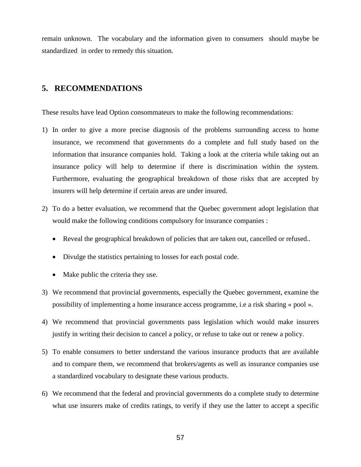remain unknown. The vocabulary and the information given to consumers should maybe be standardized in order to remedy this situation.

# **5. RECOMMENDATIONS**

These results have lead Option consommateurs to make the following recommendations:

- 1) In order to give a more precise diagnosis of the problems surrounding access to home insurance, we recommend that governments do a complete and full study based on the information that insurance companies hold. Taking a look at the criteria while taking out an insurance policy will help to determine if there is discrimination within the system. Furthermore, evaluating the geographical breakdown of those risks that are accepted by insurers will help determine if certain areas are under insured.
- 2) To do a better evaluation, we recommend that the Quebec government adopt legislation that would make the following conditions compulsory for insurance companies :
	- Reveal the geographical breakdown of policies that are taken out, cancelled or refused..
	- Divulge the statistics pertaining to losses for each postal code.
	- Make public the criteria they use.
- 3) We recommend that provincial governments, especially the Quebec government, examine the possibility of implementing a home insurance access programme, i.e a risk sharing « pool ».
- 4) We recommend that provincial governments pass legislation which would make insurers justify in writing their decision to cancel a policy, or refuse to take out or renew a policy.
- 5) To enable consumers to better understand the various insurance products that are available and to compare them, we recommend that brokers/agents as well as insurance companies use a standardized vocabulary to designate these various products.
- 6) We recommend that the federal and provincial governments do a complete study to determine what use insurers make of credits ratings, to verify if they use the latter to accept a specific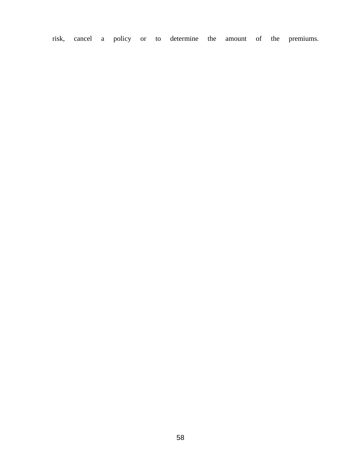risk, cancel a policy or to determine the amount of the premiums.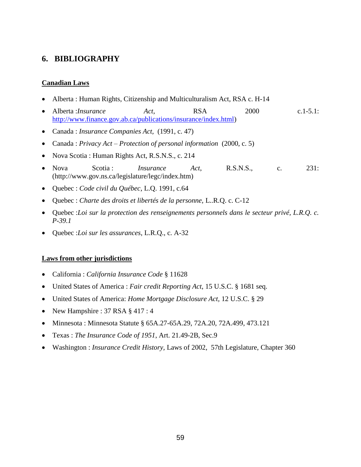# **6. BIBLIOGRAPHY**

### **Canadian Laws**

- Alberta : Human Rights, Citizenship and Multiculturalism Act, RSA c. H-14
- Alberta :*Insurance Act*, RSA 2000 c.1-5.1: [http://www.finance.gov.ab.ca/publications/insurance/index.html\)](http://www.finance.gov.ab.ca/publications/insurance/index.html)
- Canada : *Insurance Companies Act,* (1991, c. 47)
- Canada : *Privacy Act – Protection of personal information* (2000, c. 5)
- Nova Scotia : Human Rights Act, R.S.N.S., c. 214
- Nova Scotia : *Insurance Act*, R.S.N.S., c. 231: (http://www.gov.ns.ca/legislature/legc/index.htm)
- Quebec : *Code civil du Québec*, L.Q. 1991, c.64
- Quebec : *Charte des droits et libertés de la personne,* L..R.Q. c. C-12
- Quebec :*Loi sur la protection des renseignements personnels dans le secteur privé, L.R.Q. c. P-39.1*
- Quebec :*Loi sur les assurances*, L.R.Q., c. A-32

### **Laws from other jurisdictions**

- California : *California Insurance Code* § 11628
- United States of America : *Fair credit Reporting Act*, 15 U.S.C. § 1681 seq.
- United States of America: *Home Mortgage Disclosure Act,* 12 U.S.C. § 29
- New Hampshire :  $37$  RSA  $\S$  417 : 4
- Minnesota : Minnesota Statute § 65A.27-65A.29, 72A.20, 72A.499, 473.121
- Texas : *The Insurance Code of 1951*, Art. 21.49-2B, Sec.9
- Washington : *Insurance Credit History,* Laws of 2002, 57th Legislature, Chapter 360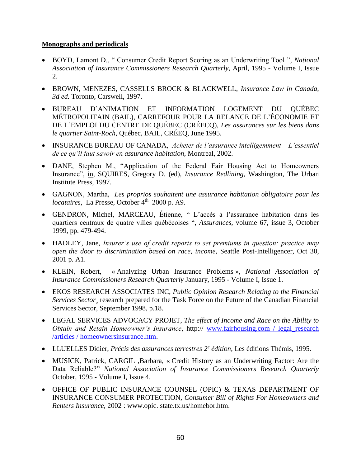# **Monographs and periodicals**

- BOYD, Lamont D., " Consumer Credit Report Scoring as an Underwriting Tool "*, National Association of Insurance Commissioners Research Quarterly*, April, 1995 - Volume I, Issue 2.
- BROWN, MENEZES, CASSELLS BROCK & BLACKWELL, *Insurance Law in Canada, 3d ed.* Toronto, Carswell, 1997.
- BUREAU D'ANIMATION ET INFORMATION LOGEMENT DU QUÉBEC MÉTROPOLITAIN (BAIL), CARREFOUR POUR LA RELANCE DE L'ÉCONOMIE ET DE L'EMPLOI DU CENTRE DE QUÉBEC (CRÉECQ), *Les assurances sur les biens dans le quartier Saint-Roch*, Québec, BAIL, CRÉEQ, June 1995.
- INSURANCE BUREAU OF CANADA, *Acheter de l'assurance intelligemment – L'essentiel de ce qu'il faut savoir en assurance habitation*, Montreal, 2002.
- DANE, Stephen M., "Application of the Federal Fair Housing Act to Homeowners Insurance", in, SQUIRES, Gregory D. (ed), *Insurance Redlining*, Washington, The Urban Institute Press, 1997.
- GAGNON, Martha, *Les proprios souhaitent une assurance habitation obligatoire pour les locataires*, La Presse, October 4<sup>th</sup> 2000 p. A9.
- GENDRON, Michel, MARCEAU, Étienne, " L'accès à l'assurance habitation dans les quartiers centraux de quatre villes québécoises ", *Assurances*, volume 67, issue 3, October 1999, pp. 479-494.
- HADLEY, Jane, *Insurer's use of credit reports to set premiums in question; practice may open the door to discrimination based on race, income*, Seattle Post-Intelligencer, Oct 30, 2001 p. A1.
- KLEIN, Robert, « Analyzing Urban Insurance Problems », *National Association of Insurance Commissioners Research Quarterly* January, 1995 - Volume I, Issue 1.
- EKOS RESEARCH ASSOCIATES INC, *Public Opinion Research Relating to the Financial Services Sector*¸ research prepared for the Task Force on the Future of the Canadian Financial Services Sector, September 1998, p.18.
- LEGAL SERVICES ADVOCACY PROJET, *The effect of Income and Race on the Ability to Obtain and Retain Homeowner's Insurance*, http:// [www.fairhousing.com / legal\\_research](http://www.fairhousing.com/legal_research/articles/homeowners)  [/articles / homeownersinsurance.htm.](http://www.fairhousing.com/legal_research/articles/homeowners)
- LLUELLES Didier, *Précis des assurances terrestres 2<sup>e</sup> édition*, Les éditions Thémis, 1995.
- MUSICK, Patrick, CARGIL ,Barbara, « Credit History as an Underwriting Factor: Are the Data Reliable?" *National Association of Insurance Commissioners Research Quarterly* October, 1995 - Volume I, Issue 4.
- OFFICE OF PUBLIC INSURANCE COUNSEL (OPIC) & TEXAS DEPARTMENT OF INSURANCE CONSUMER PROTECTION, *Consumer Bill of Rights For Homeowners and Renters Insurance,* 2002 : www.opic. state.tx.us/homebor.htm.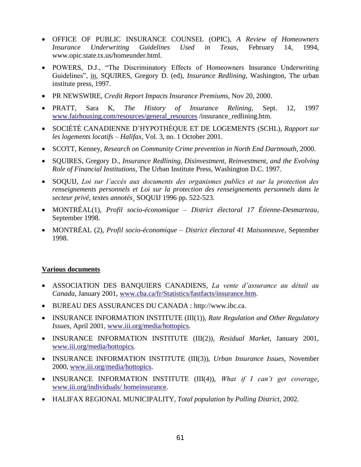- OFFICE OF PUBLIC INSURANCE COUNSEL (OPIC), *A Review of Homeowners Insurance Underwriting Guidelines Used in Texas,* February 14, 1994, www.opic.state.tx.us/homeunder.html.
- POWERS, D.J., "The Discriminatory Effects of Homeowners Insurance Underwriting Guidelines", in, SQUIRES, Gregory D. (ed), *Insurance Redlining*, Washington, The urban institute press, 1997.
- PR NEWSWIRE, *Credit Report Impacts Insurance Premiums*, Nov 20, 2000.
- PRATT, Sara K, *The History of Insurance Relining,* Sept. 12, 1997 [www.fairhousing.com/resources/general\\_resources](http://www.fairhousing.com/resources/general_resources) /insurance\_redlining.htm.
- SOCIÉTÉ CANADIENNE D'HYPOTHÈQUE ET DE LOGEMENTS (SCHL), *Rapport sur les logements locatifs – Halifax,* Vol. 3, no. 1 October 2001.
- SCOTT, Kenney, *Research on Community Crime prevention in North End Dartmouth*, 2000.
- SQUIRES, Gregory D., *Insurance Redlining, Disinvestment, Reinvestment, and the Evolving Role of Financial Institutions,* The Urban Institute Press, Washington D.C. 1997.
- SOQUIJ, *Loi sur l'accès aux documents des organismes publics et sur la protection des renseignements personnels et Loi sur la protection des renseignements personnels dans le secteur privé, textes annotés*¸ SOQUIJ 1996 pp. 522-523.
- MONTRÉAL(1), *Profil socio-économique – District électoral 17 Étienne-Desmarteau*, September 1998.
- MONTRÉAL (2), *Profil socio-économique – District électoral 41 Maisonneuve*, September 1998.

### **Various documents**

- ASSOCIATION DES BANQUIERS CANADIENS, *La vente d'assurance au détail au Canada*, January 2001, [www.cba.ca/fr/Statistics/fastfacts/insurance.htm.](http://www.cba.ca/fr/Tools/Brochures/tools_financialservices6.htm)
- BUREAU DES ASSURANCES DU CANADA : http://www.ibc.ca.
- INSURANCE INFORMATION INSTITUTE (III(1)), *Rate Regulation and Other Regulatory Issues*, April 2001, [www.iii.org/media/hottopics.](http://www.iii.org/media/hottopics)
- INSURANCE INFORMATION INSTITUTE (III(2)), *Residual Market*, January 2001, [www.iii.org/media/hottopics.](http://www.iii.org/media/hottopics)
- INSURANCE INFORMATION INSTITUTE (III(3)), *Urban Insurance Issues*, November 2000, [www.iii.org/media/hottopics.](http://www.iii.org/media/hottopics)
- INSURANCE INFORMATION INSTITUTE (III(4)), *What if I can't get coverage*, [www.iii.org/individuals/ homeinsurance.](http://www.iii.org/media/hottopics)
- HALIFAX REGIONAL MUNICIPALITY, *Total population by Polling District,* 2002.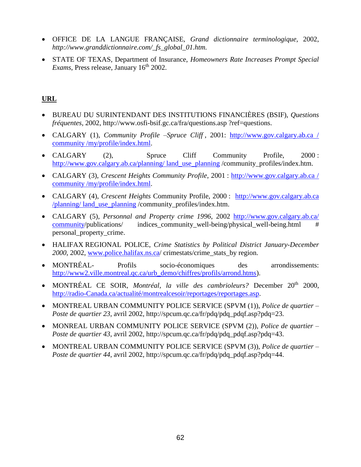- OFFICE DE LA LANGUE FRANÇAISE, *Grand dictionnaire terminologique,* 2002, *http://www.granddictionnaire.com/\_fs\_global\_01.htm.*
- STATE OF TEXAS, Department of Insurance, *Homeowners Rate Increases Prompt Special Exams*, Press release, January 16<sup>th</sup> 2002.

# **URL**

- BUREAU DU SURINTENDANT DES INSTITUTIONS FINANCIÈRES (BSIF), *Questions fréquentes,* 2002, http://www.osfi-bsif.gc.ca/fra/questions.asp ?ref=questions.
- CALGARY (1), *Community Profile –Spruce Cliff* , 2001: [http://www.gov.calgary.ab.ca /](http://www.gov.calgary.ab.ca/community/my/profile/index.html)  [community /my/profile/index.html.](http://www.gov.calgary.ab.ca/community/my/profile/index.html)
- CALGARY (2), Spruce Cliff Community Profile, 2000 : [http://www.gov.calgary.ab.ca/planning/ land\\_use\\_planning](http://www.gov.calgary.ab.ca/planning/land_use_planning) /community\_profiles/index.htm.
- CALGARY (3), *Crescent Heights Community Profile*, 2001 : [http://www.gov.calgary.ab.ca /](http://www.gov.calgary.ab.ca/community/my/profile/index.html)  community [/my/profile/index.html.](http://www.gov.calgary.ab.ca/community/my/profile/index.html)
- CALGARY (4), *Crescent Heights* Community Profile, 2000 : [http://www.gov.calgary.ab.ca](http://www.gov.calgary.ab.ca/planning/land_use_planning)  [/planning/ land\\_use\\_planning](http://www.gov.calgary.ab.ca/planning/land_use_planning) /community\_profiles/index.htm.
- CALGARY (5), *Personnal and Property crime 1996*, 2002 [http://www.gov.calgary.ab.ca/](http://www.gov.calgary.ab.ca/community)  [community/](http://www.gov.calgary.ab.ca/community)publications/ indices\_community\_well-being/physical\_well-being.html # personal\_property\_crime.
- HALIFAX REGIONAL POLICE, *Crime Statistics by Political District January-December*  2000, 2002, [www.police.halifax.ns.ca/](http://www.police.halifax.ns.ca/) crimestats/crime\_stats\_by region.
- MONTRÉAL- Profils socio-économiques des arrondissements: [http://www2.ville.montreal.qc.ca/urb\\_demo/chiffres/profils/arrond.htms\)](http://www2.ville.montreal.qc.ca/urb_demo/chiffres/profils/arrond.htms).
- MONTRÉAL CE SOIR, *Montréal, la ville des cambrioleurs?* December 20th 2000, [http://radio-Canada.ca/actualité/montrealcesoir/reportages/reportages.asp.](http://radio-canada.ca/actualité/montrealcesoir/reportages/reportages.asp)
- MONTREAL URBAN COMMUNITY POLICE SERVICE (SPVM (1)), *Police de quartier – Poste de quartier 23*, avril 2002, http://spcum.qc.ca/fr/pdq/pdq\_pdqf.asp?pdq=23.
- MONREAL URBAN COMMUNITY POLICE SERVICE (SPVM (2)), *Police de quartier – Poste de quartier 43*, avril 2002, http://spcum.qc.ca/fr/pdq/pdq\_pdqf.asp?pdq=43.
- MONTREAL URBAN COMMUNITY POLICE SERVICE (SPVM (3)), *Police de quartier – Poste de quartier 44, avril 2002, http://spcum.qc.ca/fr/pdq/pdq\_pdqf.asp?pdq=44.*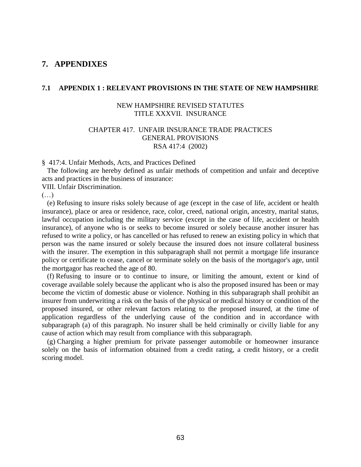# **7. APPENDIXES**

### **7.1 APPENDIX 1 : RELEVANT PROVISIONS IN THE STATE OF NEW HAMPSHIRE**

### NEW HAMPSHIRE REVISED STATUTES TITLE XXXVII. INSURANCE

### CHAPTER 417. UNFAIR INSURANCE TRADE PRACTICES GENERAL PROVISIONS RSA 417:4 (2002)

§ 417:4. Unfair Methods, Acts, and Practices Defined

 The following are hereby defined as unfair methods of competition and unfair and deceptive acts and practices in the business of insurance:

VIII. Unfair Discrimination.

 $(\ldots)$ 

 (e) Refusing to insure risks solely because of age (except in the case of life, accident or health insurance), place or area or residence, race, color, creed, national origin, ancestry, marital status, lawful occupation including the military service (except in the case of life, accident or health insurance), of anyone who is or seeks to become insured or solely because another insurer has refused to write a policy, or has cancelled or has refused to renew an existing policy in which that person was the name insured or solely because the insured does not insure collateral business with the insurer. The exemption in this subparagraph shall not permit a mortgage life insurance policy or certificate to cease, cancel or terminate solely on the basis of the mortgagor's age, until the mortgagor has reached the age of 80.

 (f) Refusing to insure or to continue to insure, or limiting the amount, extent or kind of coverage available solely because the applicant who is also the proposed insured has been or may become the victim of domestic abuse or violence. Nothing in this subparagraph shall prohibit an insurer from underwriting a risk on the basis of the physical or medical history or condition of the proposed insured, or other relevant factors relating to the proposed insured, at the time of application regardless of the underlying cause of the condition and in accordance with subparagraph (a) of this paragraph. No insurer shall be held criminally or civilly liable for any cause of action which may result from compliance with this subparagraph.

 (g) Charging a higher premium for private passenger automobile or homeowner insurance solely on the basis of information obtained from a credit rating, a credit history, or a credit scoring model.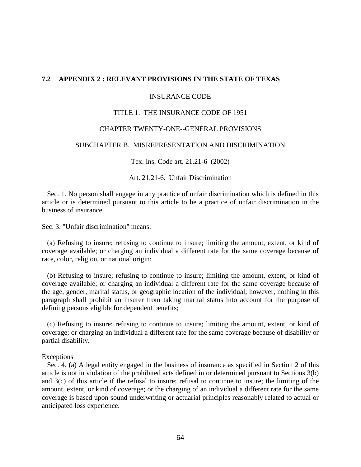### **7.2 APPENDIX 2 : RELEVANT PROVISIONS IN THE STATE OF TEXAS**

### INSURANCE CODE

### TITLE 1. THE INSURANCE CODE OF 1951

### CHAPTER TWENTY-ONE--GENERAL PROVISIONS

### SUBCHAPTER B. MISREPRESENTATION AND DISCRIMINATION

Tex. Ins. Code art. 21.21-6 (2002)

Art. 21.21-6. Unfair Discrimination

 Sec. 1. No person shall engage in any practice of unfair discrimination which is defined in this article or is determined pursuant to this article to be a practice of unfair discrimination in the business of insurance.

Sec. 3. "Unfair discrimination" means:

 (a) Refusing to insure; refusing to continue to insure; limiting the amount, extent, or kind of coverage available; or charging an individual a different rate for the same coverage because of race, color, religion, or national origin;

 (b) Refusing to insure; refusing to continue to insure; limiting the amount, extent, or kind of coverage available; or charging an individual a different rate for the same coverage because of the age, gender, marital status, or geographic location of the individual; however, nothing in this paragraph shall prohibit an insurer from taking marital status into account for the purpose of defining persons eligible for dependent benefits;

 (c) Refusing to insure; refusing to continue to insure; limiting the amount, extent, or kind of coverage; or charging an individual a different rate for the same coverage because of disability or partial disability.

### Exceptions

 Sec. 4. (a) A legal entity engaged in the business of insurance as specified in Section 2 of this article is not in violation of the prohibited acts defined in or determined pursuant to Sections 3(b) and 3(c) of this article if the refusal to insure; refusal to continue to insure; the limiting of the amount, extent, or kind of coverage; or the charging of an individual a different rate for the same coverage is based upon sound underwriting or actuarial principles reasonably related to actual or anticipated loss experience.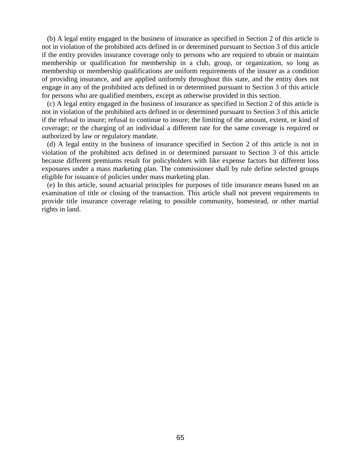(b) A legal entity engaged in the business of insurance as specified in Section 2 of this article is not in violation of the prohibited acts defined in or determined pursuant to Section 3 of this article if the entity provides insurance coverage only to persons who are required to obtain or maintain membership or qualification for membership in a club, group, or organization, so long as membership or membership qualifications are uniform requirements of the insurer as a condition of providing insurance, and are applied uniformly throughout this state, and the entity does not engage in any of the prohibited acts defined in or determined pursuant to Section 3 of this article for persons who are qualified members, except as otherwise provided in this section.

 (c) A legal entity engaged in the business of insurance as specified in Section 2 of this article is not in violation of the prohibited acts defined in or determined pursuant to Section 3 of this article if the refusal to insure; refusal to continue to insure; the limiting of the amount, extent, or kind of coverage; or the charging of an individual a different rate for the same coverage is required or authorized by law or regulatory mandate.

 (d) A legal entity in the business of insurance specified in Section 2 of this article is not in violation of the prohibited acts defined in or determined pursuant to Section 3 of this article because different premiums result for policyholders with like expense factors but different loss exposures under a mass marketing plan. The commissioner shall by rule define selected groups eligible for issuance of policies under mass marketing plan.

 (e) In this article, sound actuarial principles for purposes of title insurance means based on an examination of title or closing of the transaction. This article shall not prevent requirements to provide title insurance coverage relating to possible community, homestead, or other martial rights in land.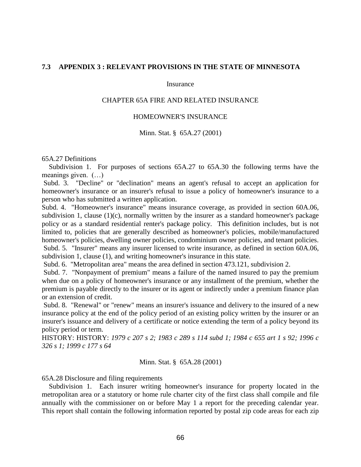### **7.3 APPENDIX 3 : RELEVANT PROVISIONS IN THE STATE OF MINNESOTA**

#### Insurance

### CHAPTER 65A FIRE AND RELATED INSURANCE

### HOMEOWNER'S INSURANCE

#### Minn. Stat. § 65A.27 (2001)

#### 65A.27 Definitions

 Subdivision 1. For purposes of sections 65A.27 to 65A.30 the following terms have the meanings given. (…)

Subd. 3. "Decline" or "declination" means an agent's refusal to accept an application for homeowner's insurance or an insurer's refusal to issue a policy of homeowner's insurance to a person who has submitted a written application.

Subd. 4. "Homeowner's insurance" means insurance coverage, as provided in section 60A.06, subdivision 1, clause  $(1)(c)$ , normally written by the insurer as a standard homeowner's package policy or as a standard residential renter's package policy. This definition includes, but is not limited to, policies that are generally described as homeowner's policies, mobile/manufactured homeowner's policies, dwelling owner policies, condominium owner policies, and tenant policies. Subd. 5. "Insurer" means any insurer licensed to write insurance, as defined in section 60A.06, subdivision 1, clause (1), and writing homeowner's insurance in this state.

Subd. 6. "Metropolitan area" means the area defined in section 473.121, subdivision 2.

Subd. 7. "Nonpayment of premium" means a failure of the named insured to pay the premium when due on a policy of homeowner's insurance or any installment of the premium, whether the premium is payable directly to the insurer or its agent or indirectly under a premium finance plan or an extension of credit.

Subd. 8. "Renewal" or "renew" means an insurer's issuance and delivery to the insured of a new insurance policy at the end of the policy period of an existing policy written by the insurer or an insurer's issuance and delivery of a certificate or notice extending the term of a policy beyond its policy period or term.

HISTORY: HISTORY: *1979 c 207 s 2; 1983 c 289 s 114 subd 1; 1984 c 655 art 1 s 92; 1996 c 326 s 1; 1999 c 177 s 64* 

Minn. Stat. § 65A.28 (2001)

65A.28 Disclosure and filing requirements

 Subdivision 1. Each insurer writing homeowner's insurance for property located in the metropolitan area or a statutory or home rule charter city of the first class shall compile and file annually with the commissioner on or before May 1 a report for the preceding calendar year. This report shall contain the following information reported by postal zip code areas for each zip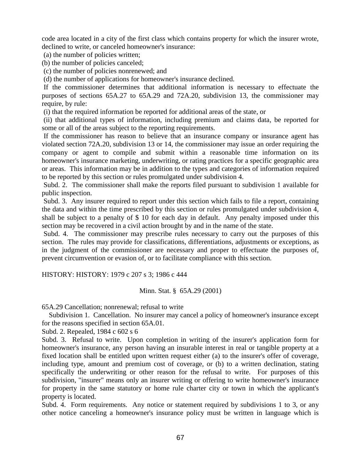code area located in a city of the first class which contains property for which the insurer wrote, declined to write, or canceled homeowner's insurance:

(a) the number of policies written;

(b) the number of policies canceled;

(c) the number of policies nonrenewed; and

(d) the number of applications for homeowner's insurance declined.

If the commissioner determines that additional information is necessary to effectuate the purposes of sections 65A.27 to 65A.29 and 72A.20, subdivision 13, the commissioner may require, by rule:

(i) that the required information be reported for additional areas of the state, or

(ii) that additional types of information, including premium and claims data, be reported for some or all of the areas subject to the reporting requirements.

If the commissioner has reason to believe that an insurance company or insurance agent has violated section 72A.20, subdivision 13 or 14, the commissioner may issue an order requiring the company or agent to compile and submit within a reasonable time information on its homeowner's insurance marketing, underwriting, or rating practices for a specific geographic area or areas. This information may be in addition to the types and categories of information required to be reported by this section or rules promulgated under subdivision 4.

Subd. 2. The commissioner shall make the reports filed pursuant to subdivision 1 available for public inspection.

Subd. 3. Any insurer required to report under this section which fails to file a report, containing the data and within the time prescribed by this section or rules promulgated under subdivision 4, shall be subject to a penalty of \$ 10 for each day in default. Any penalty imposed under this section may be recovered in a civil action brought by and in the name of the state.

Subd. 4. The commissioner may prescribe rules necessary to carry out the purposes of this section. The rules may provide for classifications, differentiations, adjustments or exceptions, as in the judgment of the commissioner are necessary and proper to effectuate the purposes of, prevent circumvention or evasion of, or to facilitate compliance with this section.

HISTORY: HISTORY: 1979 c 207 s 3; 1986 c 444

Minn. Stat. § 65A.29 (2001)

65A.29 Cancellation; nonrenewal; refusal to write

 Subdivision 1. Cancellation. No insurer may cancel a policy of homeowner's insurance except for the reasons specified in section 65A.01.

Subd. 2. Repealed, 1984 c 602 s 6

Subd. 3. Refusal to write. Upon completion in writing of the insurer's application form for homeowner's insurance, any person having an insurable interest in real or tangible property at a fixed location shall be entitled upon written request either (a) to the insurer's offer of coverage, including type, amount and premium cost of coverage, or (b) to a written declination, stating specifically the underwriting or other reason for the refusal to write. For purposes of this subdivision, "insurer" means only an insurer writing or offering to write homeowner's insurance for property in the same statutory or home rule charter city or town in which the applicant's property is located.

Subd. 4. Form requirements. Any notice or statement required by subdivisions 1 to 3, or any other notice canceling a homeowner's insurance policy must be written in language which is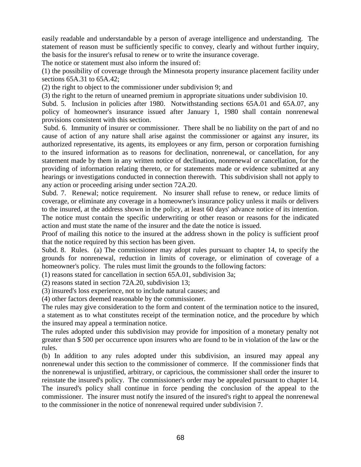easily readable and understandable by a person of average intelligence and understanding. The statement of reason must be sufficiently specific to convey, clearly and without further inquiry, the basis for the insurer's refusal to renew or to write the insurance coverage.

The notice or statement must also inform the insured of:

(1) the possibility of coverage through the Minnesota property insurance placement facility under sections 65A.31 to 65A.42;

(2) the right to object to the commissioner under subdivision 9; and

(3) the right to the return of unearned premium in appropriate situations under subdivision 10.

Subd. 5. Inclusion in policies after 1980. Notwithstanding sections 65A.01 and 65A.07, any policy of homeowner's insurance issued after January 1, 1980 shall contain nonrenewal provisions consistent with this section.

Subd. 6. Immunity of insurer or commissioner. There shall be no liability on the part of and no cause of action of any nature shall arise against the commissioner or against any insurer, its authorized representative, its agents, its employees or any firm, person or corporation furnishing to the insured information as to reasons for declination, nonrenewal, or cancellation, for any statement made by them in any written notice of declination, nonrenewal or cancellation, for the providing of information relating thereto, or for statements made or evidence submitted at any hearings or investigations conducted in connection therewith. This subdivision shall not apply to any action or proceeding arising under section 72A.20.

Subd. 7. Renewal; notice requirement. No insurer shall refuse to renew, or reduce limits of coverage, or eliminate any coverage in a homeowner's insurance policy unless it mails or delivers to the insured, at the address shown in the policy, at least 60 days' advance notice of its intention. The notice must contain the specific underwriting or other reason or reasons for the indicated action and must state the name of the insurer and the date the notice is issued.

Proof of mailing this notice to the insured at the address shown in the policy is sufficient proof that the notice required by this section has been given.

Subd. 8. Rules. (a) The commissioner may adopt rules pursuant to chapter 14, to specify the grounds for nonrenewal, reduction in limits of coverage, or elimination of coverage of a homeowner's policy. The rules must limit the grounds to the following factors:

(1) reasons stated for cancellation in section 65A.01, subdivision 3a;

(2) reasons stated in section 72A.20, subdivision 13;

(3) insured's loss experience, not to include natural causes; and

(4) other factors deemed reasonable by the commissioner.

The rules may give consideration to the form and content of the termination notice to the insured, a statement as to what constitutes receipt of the termination notice, and the procedure by which the insured may appeal a termination notice.

The rules adopted under this subdivision may provide for imposition of a monetary penalty not greater than \$ 500 per occurrence upon insurers who are found to be in violation of the law or the rules.

(b) In addition to any rules adopted under this subdivision, an insured may appeal any nonrenewal under this section to the commissioner of commerce. If the commissioner finds that the nonrenewal is unjustified, arbitrary, or capricious, the commissioner shall order the insurer to reinstate the insured's policy. The commissioner's order may be appealed pursuant to chapter 14. The insured's policy shall continue in force pending the conclusion of the appeal to the commissioner. The insurer must notify the insured of the insured's right to appeal the nonrenewal to the commissioner in the notice of nonrenewal required under subdivision 7.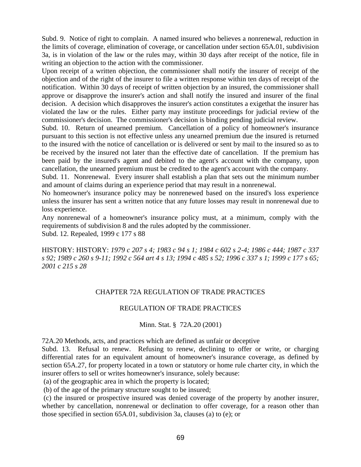Subd. 9. Notice of right to complain. A named insured who believes a nonrenewal, reduction in the limits of coverage, elimination of coverage, or cancellation under section 65A.01, subdivision 3a, is in violation of the law or the rules may, within 30 days after receipt of the notice, file in writing an objection to the action with the commissioner.

Upon receipt of a written objection, the commissioner shall notify the insurer of receipt of the objection and of the right of the insurer to file a written response within ten days of receipt of the notification. Within 30 days of receipt of written objection by an insured, the commissioner shall approve or disapprove the insurer's action and shall notify the insured and insurer of the final decision. A decision which disapproves the insurer's action constitutes a exigethat the insurer has violated the law or the rules. Either party may institute proceedings for judicial review of the commissioner's decision. The commissioner's decision is binding pending judicial review.

Subd. 10. Return of unearned premium. Cancellation of a policy of homeowner's insurance pursuant to this section is not effective unless any unearned premium due the insured is returned to the insured with the notice of cancellation or is delivered or sent by mail to the insured so as to be received by the insured not later than the effective date of cancellation. If the premium has been paid by the insured's agent and debited to the agent's account with the company, upon cancellation, the unearned premium must be credited to the agent's account with the company.

Subd. 11. Nonrenewal. Every insurer shall establish a plan that sets out the minimum number and amount of claims during an experience period that may result in a nonrenewal.

No homeowner's insurance policy may be nonrenewed based on the insured's loss experience unless the insurer has sent a written notice that any future losses may result in nonrenewal due to loss experience.

Any nonrenewal of a homeowner's insurance policy must, at a minimum, comply with the requirements of subdivision 8 and the rules adopted by the commissioner. Subd. 12. Repealed, 1999 c 177 s 88

HISTORY: HISTORY: *1979 c 207 s 4; 1983 c 94 s 1; 1984 c 602 s 2-4; 1986 c 444; 1987 c 337 s 92; 1989 c 260 s 9-11; 1992 c 564 art 4 s 13; 1994 c 485 s 52; 1996 c 337 s 1; 1999 c 177 s 65; 2001 c 215 s 28* 

# CHAPTER 72A REGULATION OF TRADE PRACTICES

### REGULATION OF TRADE PRACTICES

# Minn. Stat. § 72A.20 (2001)

72A.20 Methods, acts, and practices which are defined as unfair or deceptive

Subd. 13. Refusal to renew. Refusing to renew, declining to offer or write, or charging differential rates for an equivalent amount of homeowner's insurance coverage, as defined by section 65A.27, for property located in a town or statutory or home rule charter city, in which the insurer offers to sell or writes homeowner's insurance, solely because:

(a) of the geographic area in which the property is located;

(b) of the age of the primary structure sought to be insured;

(c) the insured or prospective insured was denied coverage of the property by another insurer, whether by cancellation, nonrenewal or declination to offer coverage, for a reason other than those specified in section 65A.01, subdivision 3a, clauses (a) to (e); or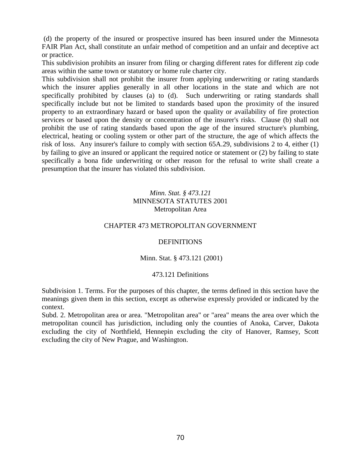(d) the property of the insured or prospective insured has been insured under the Minnesota FAIR Plan Act, shall constitute an unfair method of competition and an unfair and deceptive act or practice.

This subdivision prohibits an insurer from filing or charging different rates for different zip code areas within the same town or statutory or home rule charter city.

This subdivision shall not prohibit the insurer from applying underwriting or rating standards which the insurer applies generally in all other locations in the state and which are not specifically prohibited by clauses (a) to (d). Such underwriting or rating standards shall specifically include but not be limited to standards based upon the proximity of the insured property to an extraordinary hazard or based upon the quality or availability of fire protection services or based upon the density or concentration of the insurer's risks. Clause (b) shall not prohibit the use of rating standards based upon the age of the insured structure's plumbing, electrical, heating or cooling system or other part of the structure, the age of which affects the risk of loss. Any insurer's failure to comply with section 65A.29, subdivisions 2 to 4, either (1) by failing to give an insured or applicant the required notice or statement or (2) by failing to state specifically a bona fide underwriting or other reason for the refusal to write shall create a presumption that the insurer has violated this subdivision.

# *Minn. Stat. § 473.121* MINNESOTA STATUTES 2001 Metropolitan Area

# CHAPTER 473 METROPOLITAN GOVERNMENT

### **DEFINITIONS**

# Minn. Stat. § 473.121 (2001)

### 473.121 Definitions

Subdivision 1. Terms. For the purposes of this chapter, the terms defined in this section have the meanings given them in this section, except as otherwise expressly provided or indicated by the context.

Subd. 2. Metropolitan area or area. "Metropolitan area" or "area" means the area over which the metropolitan council has jurisdiction, including only the counties of Anoka, Carver, Dakota excluding the city of Northfield, Hennepin excluding the city of Hanover, Ramsey, Scott excluding the city of New Prague, and Washington.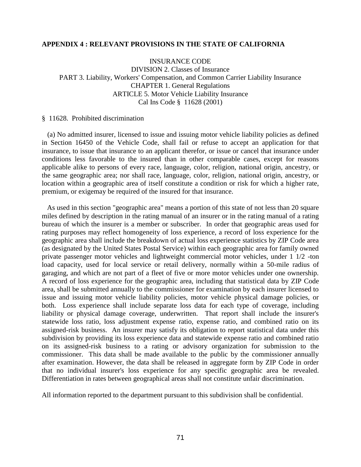### **APPENDIX 4 : RELEVANT PROVISIONS IN THE STATE OF CALIFORNIA**

INSURANCE CODE DIVISION 2. Classes of Insurance PART 3. Liability, Workers' Compensation, and Common Carrier Liability Insurance CHAPTER 1. General Regulations ARTICLE 5. Motor Vehicle Liability Insurance Cal Ins Code § 11628 (2001)

### § 11628. Prohibited discrimination

(a) No admitted insurer, licensed to issue and issuing motor vehicle liability policies as defined in Section 16450 of the Vehicle Code, shall fail or refuse to accept an application for that insurance, to issue that insurance to an applicant therefor, or issue or cancel that insurance under conditions less favorable to the insured than in other comparable cases, except for reasons applicable alike to persons of every race, language, color, religion, national origin, ancestry, or the same geographic area; nor shall race, language, color, religion, national origin, ancestry, or location within a geographic area of itself constitute a condition or risk for which a higher rate, premium, or exigemay be required of the insured for that insurance.

As used in this section "geographic area" means a portion of this state of not less than 20 square miles defined by description in the rating manual of an insurer or in the rating manual of a rating bureau of which the insurer is a member or subscriber. In order that geographic areas used for rating purposes may reflect homogeneity of loss experience, a record of loss experience for the geographic area shall include the breakdown of actual loss experience statistics by ZIP Code area (as designated by the United States Postal Service) within each geographic area for family owned private passenger motor vehicles and lightweight commercial motor vehicles, under 1 1/2 -ton load capacity, used for local service or retail delivery, normally within a 50-mile radius of garaging, and which are not part of a fleet of five or more motor vehicles under one ownership. A record of loss experience for the geographic area, including that statistical data by ZIP Code area, shall be submitted annually to the commissioner for examination by each insurer licensed to issue and issuing motor vehicle liability policies, motor vehicle physical damage policies, or both. Loss experience shall include separate loss data for each type of coverage, including liability or physical damage coverage, underwritten. That report shall include the insurer's statewide loss ratio, loss adjustment expense ratio, expense ratio, and combined ratio on its assigned-risk business. An insurer may satisfy its obligation to report statistical data under this subdivision by providing its loss experience data and statewide expense ratio and combined ratio on its assigned-risk business to a rating or advisory organization for submission to the commissioner. This data shall be made available to the public by the commissioner annually after examination. However, the data shall be released in aggregate form by ZIP Code in order that no individual insurer's loss experience for any specific geographic area be revealed. Differentiation in rates between geographical areas shall not constitute unfair discrimination.

All information reported to the department pursuant to this subdivision shall be confidential.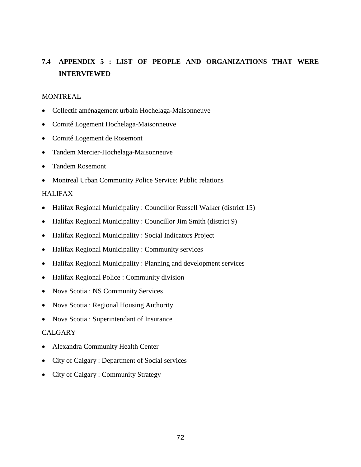# **7.4 APPENDIX 5 : LIST OF PEOPLE AND ORGANIZATIONS THAT WERE INTERVIEWED**

### MONTREAL

- Collectif aménagement urbain Hochelaga-Maisonneuve
- Comité Logement Hochelaga-Maisonneuve
- Comité Logement de Rosemont
- Tandem Mercier-Hochelaga-Maisonneuve
- Tandem Rosemont
- Montreal Urban Community Police Service: Public relations

# HALIFAX

- Halifax Regional Municipality : Councillor Russell Walker (district 15)
- Halifax Regional Municipality : Councillor Jim Smith (district 9)
- Halifax Regional Municipality : Social Indicators Project
- Halifax Regional Municipality : Community services
- Halifax Regional Municipality : Planning and development services
- Halifax Regional Police : Community division
- Nova Scotia : NS Community Services
- Nova Scotia : Regional Housing Authority
- Nova Scotia : Superintendant of Insurance

### CALGARY

- Alexandra Community Health Center
- City of Calgary : Department of Social services
- City of Calgary : Community Strategy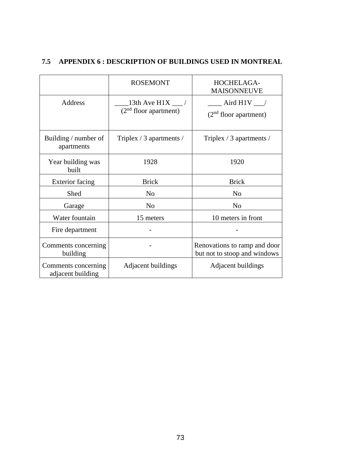|                                          | <b>ROSEMONT</b>                                         | HOCHELAGA-<br><b>MAISONNEUVE</b><br>$\_$ Aird H1V $\_$<br>$(2nd$ floor apartment) |  |
|------------------------------------------|---------------------------------------------------------|-----------------------------------------------------------------------------------|--|
| Address                                  | 13th Ave H1X $\frac{1}{2}$ /<br>$(2nd$ floor apartment) |                                                                                   |  |
| Building / number of<br>apartments       | Triplex / 3 apartments /                                | Triplex / 3 apartments /                                                          |  |
| Year building was<br>built               | 1928                                                    | 1920                                                                              |  |
| <b>Exterior</b> facing                   | <b>Brick</b>                                            | <b>Brick</b>                                                                      |  |
| Shed                                     | N <sub>0</sub>                                          | N <sub>0</sub>                                                                    |  |
| Garage                                   | N <sub>0</sub>                                          | N <sub>0</sub>                                                                    |  |
| Water fountain                           | 15 meters                                               | 10 meters in front                                                                |  |
| Fire department                          |                                                         |                                                                                   |  |
| Comments concerning<br>building          |                                                         | Renovations to ramp and door<br>but not to stoop and windows                      |  |
| Comments concerning<br>adjacent building | Adjacent buildings                                      | Adjacent buildings                                                                |  |

# **7.5 APPENDIX 6 : DESCRIPTION OF BUILDINGS USED IN MONTREAL**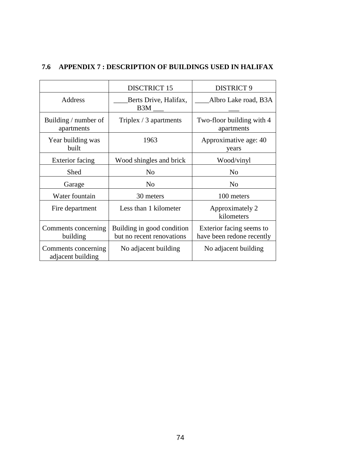|                                          | <b>DISCTRICT 15</b>                                     | <b>DISTRICT 9</b>                                     |  |
|------------------------------------------|---------------------------------------------------------|-------------------------------------------------------|--|
| Address                                  | Berts Drive, Halifax,<br>B <sub>3</sub> M               | Albro Lake road, B3A                                  |  |
| Building / number of<br>apartments       | Triplex / 3 apartments                                  | Two-floor building with 4<br>apartments               |  |
| Year building was<br>built               | 1963                                                    | Approximative age: 40<br>years                        |  |
| <b>Exterior facing</b>                   | Wood shingles and brick                                 | Wood/vinyl                                            |  |
| Shed                                     | N <sub>o</sub>                                          | N <sub>o</sub>                                        |  |
| Garage                                   | N <sub>o</sub>                                          | N <sub>0</sub>                                        |  |
| Water fountain                           | 30 meters                                               | 100 meters                                            |  |
| Fire department                          | Less than 1 kilometer                                   | Approximately 2<br>kilometers                         |  |
| Comments concerning<br>building          | Building in good condition<br>but no recent renovations | Exterior facing seems to<br>have been redone recently |  |
| Comments concerning<br>adjacent building | No adjacent building                                    | No adjacent building                                  |  |

# **7.6 APPENDIX 7 : DESCRIPTION OF BUILDINGS USED IN HALIFAX**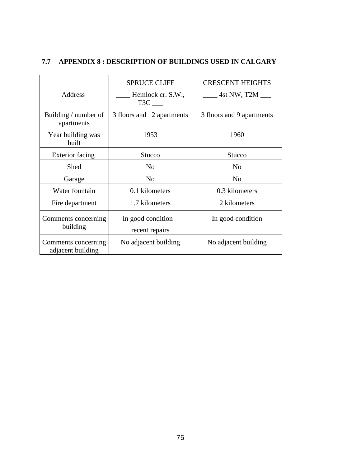|                                          | <b>SPRUCE CLIFF</b>                     | <b>CRESCENT HEIGHTS</b>   |  |
|------------------------------------------|-----------------------------------------|---------------------------|--|
| Address                                  | Hemlock cr. S.W.,<br>T <sub>3</sub> C   | $4st$ NW, T2M $\_\_$      |  |
| Building / number of<br>apartments       | 3 floors and 12 apartments              | 3 floors and 9 apartments |  |
| Year building was<br>built               | 1953                                    | 1960                      |  |
| <b>Exterior facing</b>                   | Stucco                                  | <b>Stucco</b>             |  |
| Shed                                     | N <sub>0</sub>                          | N <sub>0</sub>            |  |
| Garage                                   | N <sub>o</sub>                          | N <sub>o</sub>            |  |
| Water fountain                           | 0.1 kilometers                          | 0.3 kilometers            |  |
| Fire department                          | 1.7 kilometers                          | 2 kilometers              |  |
| Comments concerning<br>building          | In good condition $-$<br>recent repairs | In good condition         |  |
| Comments concerning<br>adjacent building | No adjacent building                    | No adjacent building      |  |

# **7.7 APPENDIX 8 : DESCRIPTION OF BUILDINGS USED IN CALGARY**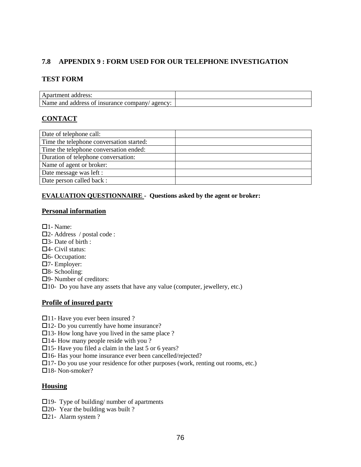# **7.8 APPENDIX 9 : FORM USED FOR OUR TELEPHONE INVESTIGATION**

#### **TEST FORM**

| l Apartment address:                          |  |
|-----------------------------------------------|--|
| Name and address of insurance company/agency: |  |

# **CONTACT**

| Date of telephone call:                  |  |
|------------------------------------------|--|
| Time the telephone conversation started: |  |
| Time the telephone conversation ended:   |  |
| Duration of telephone conversation:      |  |
| Name of agent or broker:                 |  |
| Date message was left :                  |  |
| Date person called back :                |  |

### **EVALUATION QUESTIONNAIRE - Questions asked by the agent or broker:**

#### **Personal information**

- $\Box$ 1- Name:
- 2- Address / postal code :
- 3- Date of birth :
- 4- Civil status:
- 6- Occupation:
- 7- Employer:
- 8- Schooling:
- 9- Number of creditors:
- $\Box$ 10- Do you have any assets that have any value (computer, jewellery, etc.)

#### **Profile of insured party**

- □11- Have you ever been insured ?
- 12- Do you currently have home insurance?
- $\Box$ 13- How long have you lived in the same place ?
- $\Box$ 14- How many people reside with you ?
- $\Box$ 15- Have you filed a claim in the last 5 or 6 years?
- 16- Has your home insurance ever been cancelled/rejected?
- 17- Do you use your residence for other purposes (work, renting out rooms, etc.)

 $\square$ 18- Non-smoker?

#### **Housing**

- $\Box$ 19- Type of building/ number of apartments
- $\square$ 20- Year the building was built ?
- 21- Alarm system ?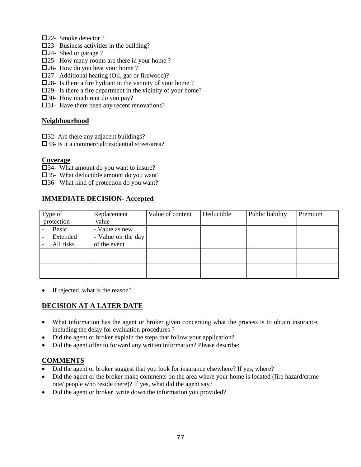- □22- Smoke detector ?
- $\square$ 23- Business activities in the building?
- □24- Shed or garage ?
- 25- How many rooms are there in your home ?
- □26- How do you heat your home?
- 27- Additional heating (Oil, gas or firewood)?
- $\square$ 28- Is there a fire hydrant in the vicinity of your home ?
- 29- Is there a fire department in the vicinity of your home?
- 30- How much rent do you pay?
- □31- Have there been any recent renovations?

#### **Neighbourhood**

- □32- Are there any adjacent buildings?
- 33- Is it a commercial/residential street/area?

#### **Coverage**

- 34- What amount do you want to insure?
- 35- What deductible amount do you want?
- 36- What kind of protection do you want?

# **IMMEDIATE DECISION- Accepted**

| Type of    | Replacement        | Value of content | Deductible | Public liability | Premium |
|------------|--------------------|------------------|------------|------------------|---------|
| protection | value              |                  |            |                  |         |
| Basic      | - Value as new     |                  |            |                  |         |
| Extended   | - Value on the day |                  |            |                  |         |
| All risks  | of the event       |                  |            |                  |         |
|            |                    |                  |            |                  |         |
|            |                    |                  |            |                  |         |
|            |                    |                  |            |                  |         |
|            |                    |                  |            |                  |         |

• If rejected, what is the reason?

# **DECISION AT A LATER DATE**

- What information has the agent or broker given concerning what the process is to obtain insurance, including the delay for evaluation procedures ?
- Did the agent or broker explain the steps that follow your application?
- Did the agent offer to forward any written information? Please describe:

# **COMMENTS**

- Did the agent or broker suggest that you look for insurance elsewhere? If yes, where?
- Did the agent or the broker make comments on the area where your home is located (fire hazard/crime rate/ people who reside there)? If yes, what did the agent say?
- Did the agent or broker write down the information you provided?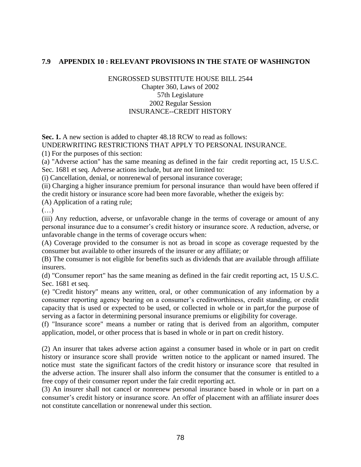### **7.9 APPENDIX 10 : RELEVANT PROVISIONS IN THE STATE OF WASHINGTON**

# ENGROSSED SUBSTITUTE HOUSE BILL 2544 Chapter 360, Laws of 2002 57th Legislature 2002 Regular Session INSURANCE--CREDIT HISTORY

**Sec. 1.** A new section is added to chapter 48.18 RCW to read as follows: UNDERWRITING RESTRICTIONS THAT APPLY TO PERSONAL INSURANCE.

(1) For the purposes of this section:

(a) "Adverse action" has the same meaning as defined in the fair credit reporting act, 15 U.S.C. Sec. 1681 et seq. Adverse actions include, but are not limited to:

(i) Cancellation, denial, or nonrenewal of personal insurance coverage;

(ii) Charging a higher insurance premium for personal insurance than would have been offered if the credit history or insurance score had been more favorable, whether the exigeis by:

(A) Application of a rating rule;

 $(\ldots)$ 

(iii) Any reduction, adverse, or unfavorable change in the terms of coverage or amount of any personal insurance due to a consumer's credit history or insurance score. A reduction, adverse, or unfavorable change in the terms of coverage occurs when:

(A) Coverage provided to the consumer is not as broad in scope as coverage requested by the consumer but available to other insureds of the insurer or any affiliate; or

(B) The consumer is not eligible for benefits such as dividends that are available through affiliate insurers.

(d) "Consumer report" has the same meaning as defined in the fair credit reporting act, 15 U.S.C. Sec. 1681 et seq.

(e) "Credit history" means any written, oral, or other communication of any information by a consumer reporting agency bearing on a consumer's creditworthiness, credit standing, or credit capacity that is used or expected to be used, or collected in whole or in part,for the purpose of serving as a factor in determining personal insurance premiums or eligibility for coverage.

(f) "Insurance score" means a number or rating that is derived from an algorithm, computer application, model, or other process that is based in whole or in part on credit history.

(2) An insurer that takes adverse action against a consumer based in whole or in part on credit history or insurance score shall provide written notice to the applicant or named insured. The notice must state the significant factors of the credit history or insurance score that resulted in the adverse action. The insurer shall also inform the consumer that the consumer is entitled to a free copy of their consumer report under the fair credit reporting act.

(3) An insurer shall not cancel or nonrenew personal insurance based in whole or in part on a consumer's credit history or insurance score. An offer of placement with an affiliate insurer does not constitute cancellation or nonrenewal under this section.